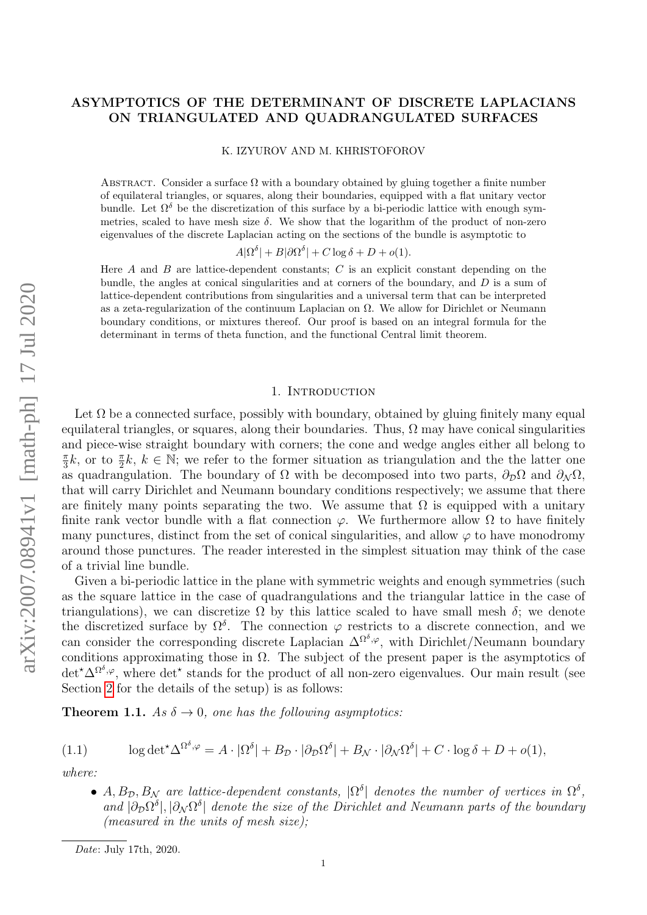# ASYMPTOTICS OF THE DETERMINANT OF DISCRETE LAPLACIANS ON TRIANGULATED AND QUADRANGULATED SURFACES

K. IZYUROV AND M. KHRISTOFOROV

ABSTRACT. Consider a surface  $\Omega$  with a boundary obtained by gluing together a finite number of equilateral triangles, or squares, along their boundaries, equipped with a flat unitary vector bundle. Let  $\Omega^{\delta}$  be the discretization of this surface by a bi-periodic lattice with enough symmetries, scaled to have mesh size  $\delta$ . We show that the logarithm of the product of non-zero eigenvalues of the discrete Laplacian acting on the sections of the bundle is asymptotic to

 $A|\Omega^{\delta}| + B|\partial\Omega^{\delta}| + C\log \delta + D + o(1).$ 

Here  $A$  and  $B$  are lattice-dependent constants;  $C$  is an explicit constant depending on the bundle, the angles at conical singularities and at corners of the boundary, and  $D$  is a sum of lattice-dependent contributions from singularities and a universal term that can be interpreted as a zeta-regularization of the continuum Laplacian on  $\Omega$ . We allow for Dirichlet or Neumann boundary conditions, or mixtures thereof. Our proof is based on an integral formula for the determinant in terms of theta function, and the functional Central limit theorem.

## 1. INTRODUCTION

Let  $\Omega$  be a connected surface, possibly with boundary, obtained by gluing finitely many equal equilateral triangles, or squares, along their boundaries. Thus,  $\Omega$  may have conical singularities and piece-wise straight boundary with corners; the cone and wedge angles either all belong to  $\pi$  $\frac{\pi}{3}k$ , or to  $\frac{\pi}{2}k$ ,  $k \in \mathbb{N}$ ; we refer to the former situation as triangulation and the the latter one as quadrangulation. The boundary of  $\Omega$  with be decomposed into two parts,  $\partial_{\mathcal{D}}\Omega$  and  $\partial_{\mathcal{N}}\Omega$ , that will carry Dirichlet and Neumann boundary conditions respectively; we assume that there are finitely many points separating the two. We assume that  $\Omega$  is equipped with a unitary finite rank vector bundle with a flat connection  $\varphi$ . We furthermore allow  $\Omega$  to have finitely many punctures, distinct from the set of conical singularities, and allow  $\varphi$  to have monodromy around those punctures. The reader interested in the simplest situation may think of the case of a trivial line bundle.

Given a bi-periodic lattice in the plane with symmetric weights and enough symmetries (such as the square lattice in the case of quadrangulations and the triangular lattice in the case of triangulations), we can discretize  $\Omega$  by this lattice scaled to have small mesh  $\delta$ ; we denote the discretized surface by  $\Omega^{\delta}$ . The connection  $\varphi$  restricts to a discrete connection, and we can consider the corresponding discrete Laplacian  $\Delta^{\Omega^{\delta}, \varphi}$ , with Dirichlet/Neumann boundary conditions approximating those in  $\Omega$ . The subject of the present paper is the asymptotics of det<sup>\*</sup>∆Ω<sup>δ,φ</sup>, where det<sup>\*</sup> stands for the product of all non-zero eigenvalues. Our main result (see Section [2](#page-2-0) for the details of the setup) is as follows:

<span id="page-0-0"></span>**Theorem 1.1.** As  $\delta \rightarrow 0$ , one has the following asymptotics:

(1.1) 
$$
\log \det^{\star} \Delta^{\Omega^{\delta}, \varphi} = A \cdot |\Omega^{\delta}| + B_{\mathcal{D}} \cdot |\partial_{\mathcal{D}} \Omega^{\delta}| + B_{\mathcal{N}} \cdot |\partial_{\mathcal{N}} \Omega^{\delta}| + C \cdot \log \delta + D + o(1),
$$

where:

<span id="page-0-1"></span>• A,  $B_{\mathcal{D}}, B_{\mathcal{N}}$  are lattice-dependent constants,  $|\Omega^{\delta}|$  denotes the number of vertices in  $\Omega^{\delta}$ , and  $|\partial_D\Omega^\delta|, |\partial_N\Omega^\delta|$  denote the size of the Dirichlet and Neumann parts of the boundary (measured in the units of mesh size);

Date: July 17th, 2020.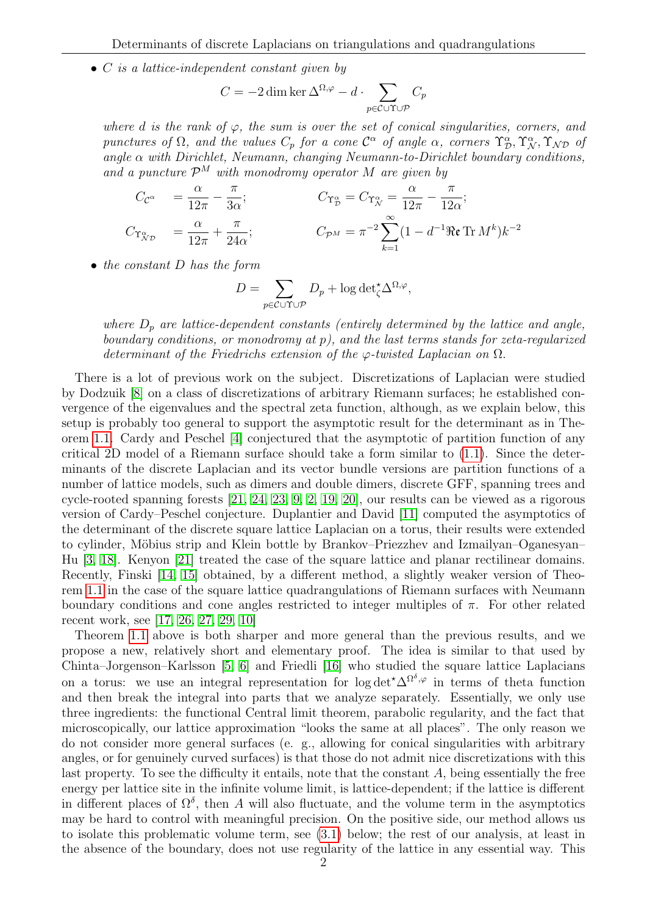$\bullet$  C is a lattice-independent constant given by

$$
C = -2 \dim \ker \Delta^{\Omega, \varphi} - d \cdot \sum_{p \in \mathcal{C} \cup \Upsilon \cup \mathcal{P}} C_p
$$

where d is the rank of  $\varphi$ , the sum is over the set of conical singularities, corners, and punctures of  $\Omega$ , and the values  $C_p$  for a cone  $\mathcal{C}^{\alpha}$  of angle  $\alpha$ , corners  $\Upsilon^{\alpha}_{\mathcal{D}}, \Upsilon^{\alpha}_{\mathcal{N}}, \Upsilon^{\alpha}_{\mathcal{N}\mathcal{D}}$  of angle  $\alpha$  with Dirichlet, Neumann, changing Neumann-to-Dirichlet boundary conditions, and a puncture  $\mathcal{P}^M$  with monodromy operator M are given by

$$
C_{\mathcal{C}^{\alpha}} = \frac{\alpha}{12\pi} - \frac{\pi}{3\alpha}; \qquad C_{\Upsilon_{\mathcal{D}}^{\alpha}} = C_{\Upsilon_{\mathcal{N}}^{\alpha}} = \frac{\alpha}{12\pi} - \frac{\pi}{12\alpha};
$$
  
\n
$$
C_{\Upsilon_{\mathcal{N}\mathcal{D}}^{\alpha}} = \frac{\alpha}{12\pi} + \frac{\pi}{24\alpha}; \qquad C_{\mathcal{P}^M} = \pi^{-2} \sum_{k=1}^{\infty} (1 - d^{-1} \Re \mathbf{r} \operatorname{Tr} M^k) k^{-2}
$$

• the constant D has the form

$$
D = \sum_{p \in \mathcal{C} \cup \Upsilon \cup \mathcal{P}} D_p + \log \det_{\zeta}^{\star} \Delta^{\Omega, \varphi},
$$

where  $D_p$  are lattice-dependent constants (entirely determined by the lattice and angle, boundary conditions, or monodromy at p), and the last terms stands for zeta-regularized determinant of the Friedrichs extension of the  $\varphi$ -twisted Laplacian on  $\Omega$ .

There is a lot of previous work on the subject. Discretizations of Laplacian were studied by Dodzuik [\[8\]](#page-21-0) on a class of discretizations of arbitrary Riemann surfaces; he established convergence of the eigenvalues and the spectral zeta function, although, as we explain below, this setup is probably too general to support the asymptotic result for the determinant as in Theorem [1.1.](#page-0-0) Cardy and Peschel [\[4\]](#page-21-1) conjectured that the asymptotic of partition function of any critical 2D model of a Riemann surface should take a form similar to [\(1.1\)](#page-0-1). Since the determinants of the discrete Laplacian and its vector bundle versions are partition functions of a number of lattice models, such as dimers and double dimers, discrete GFF, spanning trees and cycle-rooted spanning forests [\[21,](#page-21-2) [24,](#page-21-3) [23,](#page-21-4) [9,](#page-21-5) [2,](#page-20-0) [19,](#page-21-6) [20\]](#page-21-7), our results can be viewed as a rigorous version of Cardy–Peschel conjecture. Duplantier and David [\[11\]](#page-21-8) computed the asymptotics of the determinant of the discrete square lattice Laplacian on a torus, their results were extended to cylinder, Möbius strip and Klein bottle by Brankov–Priezzhev and Izmailyan–Oganesyan– Hu [\[3,](#page-20-1) [18\]](#page-21-9). Kenyon [\[21\]](#page-21-2) treated the case of the square lattice and planar rectilinear domains. Recently, Finski [\[14,](#page-21-10) [15\]](#page-21-11) obtained, by a different method, a slightly weaker version of Theorem [1.1](#page-0-0) in the case of the square lattice quadrangulations of Riemann surfaces with Neumann boundary conditions and cone angles restricted to integer multiples of  $\pi$ . For other related recent work, see [\[17,](#page-21-12) [26,](#page-21-13) [27,](#page-21-14) [29,](#page-21-15) [10\]](#page-21-16)

Theorem [1.1](#page-0-0) above is both sharper and more general than the previous results, and we propose a new, relatively short and elementary proof. The idea is similar to that used by Chinta–Jorgenson–Karlsson [\[5,](#page-21-17) [6\]](#page-21-18) and Friedli [\[16\]](#page-21-19) who studied the square lattice Laplacians on a torus: we use an integral representation for  $\log \det^* \Delta^{\Omega^{\delta}, \varphi}$  in terms of theta function and then break the integral into parts that we analyze separately. Essentially, we only use three ingredients: the functional Central limit theorem, parabolic regularity, and the fact that microscopically, our lattice approximation "looks the same at all places". The only reason we do not consider more general surfaces (e. g., allowing for conical singularities with arbitrary angles, or for genuinely curved surfaces) is that those do not admit nice discretizations with this last property. To see the difficulty it entails, note that the constant  $A$ , being essentially the free energy per lattice site in the infinite volume limit, is lattice-dependent; if the lattice is different in different places of  $\Omega^{\delta}$ , then A will also fluctuate, and the volume term in the asymptotics may be hard to control with meaningful precision. On the positive side, our method allows us to isolate this problematic volume term, see [\(3.1\)](#page-6-0) below; the rest of our analysis, at least in the absence of the boundary, does not use regularity of the lattice in any essential way. This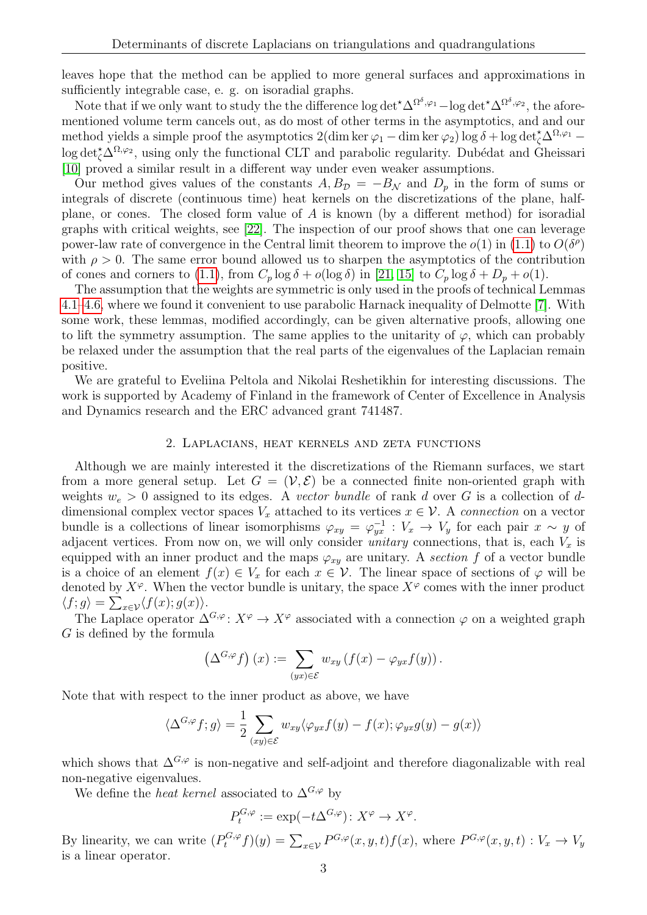leaves hope that the method can be applied to more general surfaces and approximations in sufficiently integrable case, e. g. on isoradial graphs.

Note that if we only want to study the the difference  $\log \det^* \Delta^{\Omega^{\delta},\varphi_1} - \log \det^* \Delta^{\Omega^{\delta},\varphi_2}$ , the aforementioned volume term cancels out, as do most of other terms in the asymptotics, and and our method yields a simple proof the asymptotics  $2(\dim \ker \varphi_1 - \dim \ker \varphi_2) \log \delta + \log \det_{\zeta}^{\star} \Delta^{\Omega, \varphi_1} \log \det_{\zeta}^{\star} \Delta^{\Omega,\varphi_2}$ , using only the functional CLT and parabolic regularity. Dubédat and Gheissari [\[10\]](#page-21-16) proved a similar result in a different way under even weaker assumptions.

Our method gives values of the constants  $A, B_{\mathcal{D}} = -B_{\mathcal{N}}$  and  $D_p$  in the form of sums or integrals of discrete (continuous time) heat kernels on the discretizations of the plane, halfplane, or cones. The closed form value of  $A$  is known (by a different method) for isoradial graphs with critical weights, see [\[22\]](#page-21-20). The inspection of our proof shows that one can leverage power-law rate of convergence in the Central limit theorem to improve the  $o(1)$  in [\(1.1\)](#page-0-1) to  $O(\delta^{\rho})$ with  $\rho > 0$ . The same error bound allowed us to sharpen the asymptotics of the contribution of cones and corners to [\(1.1\)](#page-0-1), from  $C_p \log \delta + o(\log \delta)$  in [\[21,](#page-21-2) [15\]](#page-21-11) to  $C_p \log \delta + D_p + o(1)$ .

The assumption that the weights are symmetric is only used in the proofs of technical Lemmas [4.1–](#page-7-0)[4.6,](#page-7-1) where we found it convenient to use parabolic Harnack inequality of Delmotte [\[7\]](#page-21-21). With some work, these lemmas, modified accordingly, can be given alternative proofs, allowing one to lift the symmetry assumption. The same applies to the unitarity of  $\varphi$ , which can probably be relaxed under the assumption that the real parts of the eigenvalues of the Laplacian remain positive.

We are grateful to Eveliina Peltola and Nikolai Reshetikhin for interesting discussions. The work is supported by Academy of Finland in the framework of Center of Excellence in Analysis and Dynamics research and the ERC advanced grant 741487.

## 2. Laplacians, heat kernels and zeta functions

<span id="page-2-0"></span>Although we are mainly interested it the discretizations of the Riemann surfaces, we start from a more general setup. Let  $G = (\mathcal{V}, \mathcal{E})$  be a connected finite non-oriented graph with weights  $w_e > 0$  assigned to its edges. A vector bundle of rank d over G is a collection of ddimensional complex vector spaces  $V_x$  attached to its vertices  $x \in V$ . A *connection* on a vector bundle is a collections of linear isomorphisms  $\varphi_{xy} = \varphi_{yx}^{-1} : V_x \to V_y$  for each pair  $x \sim y$  of adjacent vertices. From now on, we will only consider *unitary* connections, that is, each  $V_x$  is equipped with an inner product and the maps  $\varphi_{xy}$  are unitary. A section f of a vector bundle is a choice of an element  $f(x) \in V_x$  for each  $x \in V$ . The linear space of sections of  $\varphi$  will be denoted by  $X^{\varphi}$ . When the vector bundle is unitary, the space  $X^{\varphi}$  comes with the inner product  $\langle f; g \rangle = \sum_{x \in \mathcal{V}} \langle f(x); g(x) \rangle.$ 

The Laplace operator  $\Delta^{G,\varphi}$ :  $X^{\varphi} \to X^{\varphi}$  associated with a connection  $\varphi$  on a weighted graph  $G$  is defined by the formula

$$
\left(\Delta^{G,\varphi}f\right)(x) := \sum_{(yx)\in \mathcal{E}} w_{xy}\left(f(x) - \varphi_{yx}f(y)\right).
$$

Note that with respect to the inner product as above, we have

$$
\langle \Delta^{G,\varphi} f; g \rangle = \frac{1}{2} \sum_{(xy) \in \mathcal{E}} w_{xy} \langle \varphi_{yx} f(y) - f(x); \varphi_{yx} g(y) - g(x) \rangle
$$

which shows that  $\Delta^{G,\varphi}$  is non-negative and self-adjoint and therefore diagonalizable with real non-negative eigenvalues.

We define the *heat kernel* associated to  $\Delta^{G,\varphi}$  by

$$
P_t^{G,\varphi} := \exp(-t\Delta^{G,\varphi})\colon X^{\varphi} \to X^{\varphi}.
$$

By linearity, we can write  $(P_t^{G,\varphi} f)(y) = \sum_{x \in \mathcal{V}} P^{G,\varphi}(x, y, t) f(x)$ , where  $P^{G,\varphi}(x, y, t) : V_x \to V_y$ is a linear operator.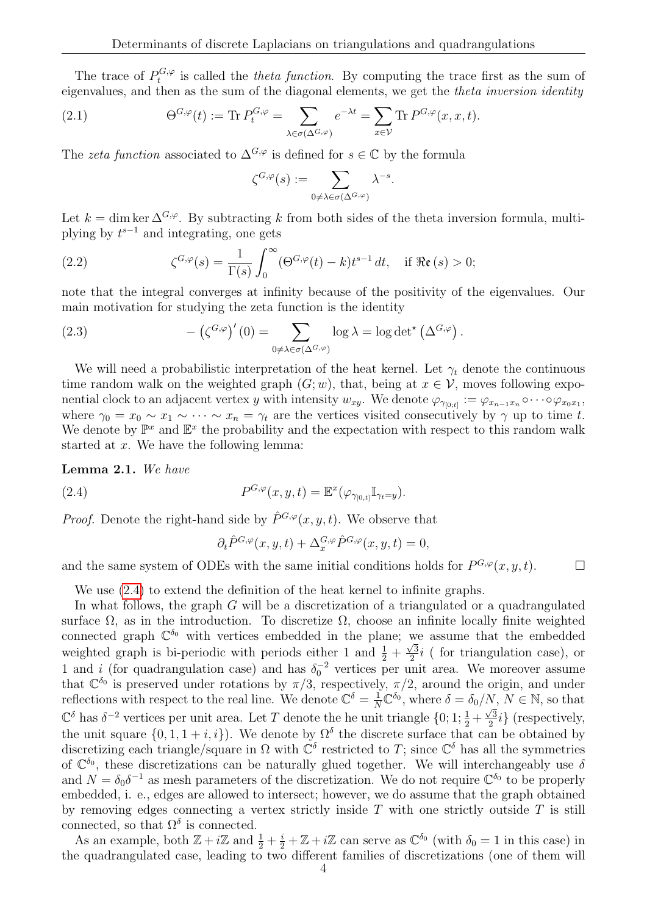The trace of  $P_t^{G,\varphi}$  $t_t^{\mathbf{G},\varphi}$  is called the *theta function*. By computing the trace first as the sum of eigenvalues, and then as the sum of the diagonal elements, we get the theta inversion identity

<span id="page-3-1"></span>(2.1) 
$$
\Theta^{G,\varphi}(t) := \text{Tr } P_t^{G,\varphi} = \sum_{\lambda \in \sigma(\Delta^{G,\varphi})} e^{-\lambda t} = \sum_{x \in \mathcal{V}} \text{Tr } P^{G,\varphi}(x,x,t).
$$

The zeta function associated to  $\Delta^{G,\varphi}$  is defined for  $s \in \mathbb{C}$  by the formula

$$
\zeta^{G,\varphi}(s):=\sum_{0\not=\lambda\in\sigma(\Delta^{G,\varphi})}\lambda^{-s}
$$

.

Let  $k = \dim \ker \Delta^{G,\varphi}$ . By subtracting k from both sides of the theta inversion formula, multiplying by  $t^{s-1}$  and integrating, one gets

<span id="page-3-2"></span>(2.2) 
$$
\zeta^{G,\varphi}(s) = \frac{1}{\Gamma(s)} \int_0^\infty (\Theta^{G,\varphi}(t) - k) t^{s-1} dt, \text{ if } \Re \mathfrak{e}(s) > 0;
$$

note that the integral converges at infinity because of the positivity of the eigenvalues. Our main motivation for studying the zeta function is the identity

(2.3) 
$$
- (\zeta^{G,\varphi})'(0) = \sum_{0 \neq \lambda \in \sigma(\Delta^{G,\varphi})} \log \lambda = \log \det^{\star} (\Delta^{G,\varphi}).
$$

We will need a probabilistic interpretation of the heat kernel. Let  $\gamma_t$  denote the continuous time random walk on the weighted graph  $(G; w)$ , that, being at  $x \in V$ , moves following exponential clock to an adjacent vertex y with intensity  $w_{xy}$ . We denote  $\varphi_{\gamma_{[0;t]}} := \varphi_{x_{n-1}x_n} \circ \cdots \circ \varphi_{x_0x_1}$ , where  $\gamma_0 = x_0 \sim x_1 \sim \cdots \sim x_n = \gamma_t$  are the vertices visited consecutively by  $\gamma$  up to time t. We denote by  $\mathbb{P}^x$  and  $\mathbb{E}^x$  the probability and the expectation with respect to this random walk started at x. We have the following lemma:

Lemma 2.1. We have

(2.4) 
$$
P^{G,\varphi}(x,y,t) = \mathbb{E}^x(\varphi_{\gamma_{[0,t]}} \mathbb{I}_{\gamma_t = y}).
$$

*Proof.* Denote the right-hand side by  $\hat{P}^{G,\varphi}(x, y, t)$ . We observe that

<span id="page-3-0"></span>
$$
\partial_t \hat{P}^{G,\varphi}(x,y,t) + \Delta_x^{G,\varphi} \hat{P}^{G,\varphi}(x,y,t) = 0,
$$

and the same system of ODEs with the same initial conditions holds for  $P^{G,\varphi}(x, y, t)$ .

We use [\(2.4\)](#page-3-0) to extend the definition of the heat kernel to infinite graphs.

In what follows, the graph G will be a discretization of a triangulated or a quadrangulated surface  $\Omega$ , as in the introduction. To discretize  $\Omega$ , choose an infinite locally finite weighted connected graph  $\mathbb{C}^{\delta_0}$  with vertices embedded in the plane; we assume that the embedded weighted graph is bi-periodic with periods either 1 and  $\frac{1}{2}$  +  $\frac{W}{\sqrt{3}}$  $\frac{\sqrt{3}}{2}i$  (for triangulation case), or 1 and i (for quadrangulation case) and has  $\delta_0^{-2}$  vertices per unit area. We moreover assume that  $\mathbb{C}^{\delta_0}$  is preserved under rotations by  $\pi/3$ , respectively,  $\pi/2$ , around the origin, and under reflections with respect to the real line. We denote  $\mathbb{C}^{\delta} = \frac{1}{N} \mathbb{C}^{\delta_0}$ , where  $\delta = \delta_0/N$ ,  $N \in \mathbb{N}$ , so that  $\mathbb{C}^{\delta}$  has  $\delta^{-2}$  vertices per unit area. Let T denote the he unit triangle  $\{0, 1, \frac{1}{2} + \frac{\sqrt{3}}{2}\}$  $\frac{\sqrt{3}}{2}i$  (respectively, the unit square  $\{0, 1, 1 + i, i\}$ . We denote by  $\Omega^{\delta}$  the discrete surface that can be obtained by discretizing each triangle/square in  $\Omega$  with  $\mathbb{C}^{\delta}$  restricted to T; since  $\mathbb{C}^{\delta}$  has all the symmetries of  $\mathbb{C}^{\delta_0}$ , these discretizations can be naturally glued together. We will interchangeably use  $\delta$ and  $N = \delta_0 \delta^{-1}$  as mesh parameters of the discretization. We do not require  $\mathbb{C}^{\delta_0}$  to be properly embedded, i. e., edges are allowed to intersect; however, we do assume that the graph obtained by removing edges connecting a vertex strictly inside  $T$  with one strictly outside  $T$  is still connected, so that  $\Omega^{\delta}$  is connected.

As an example, both  $\mathbb{Z} + i\mathbb{Z}$  and  $\frac{1}{2} + \frac{i}{2} + \mathbb{Z} + i\mathbb{Z}$  can serve as  $\mathbb{C}^{\delta_0}$  (with  $\delta_0 = 1$  in this case) in the quadrangulated case, leading to two different families of discretizations (one of them will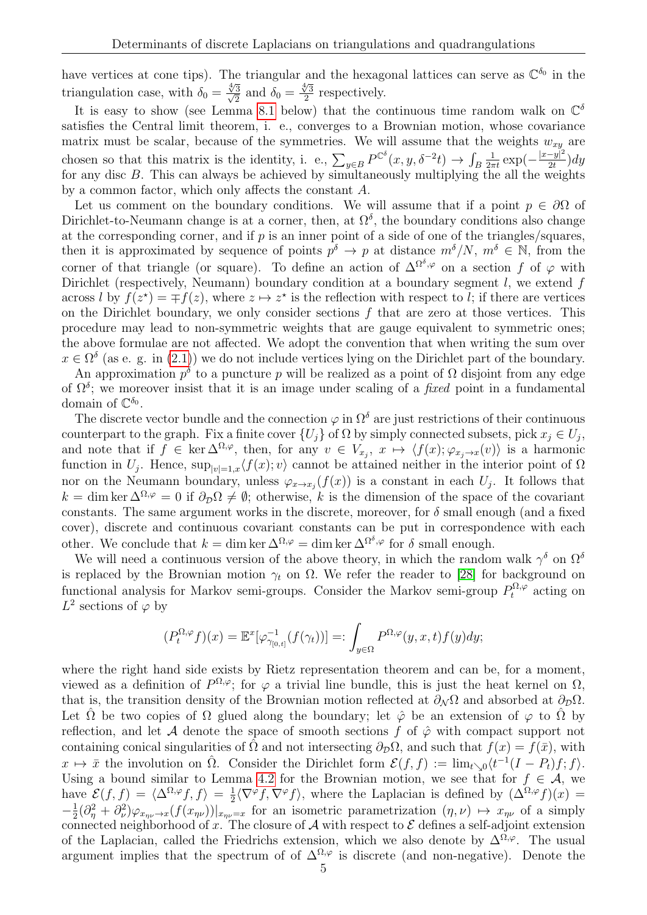have vertices at cone tips). The triangular and the hexagonal lattices can serve as  $\mathbb{C}^{\delta_0}$  in the triangulation case, with  $\delta_0 =$  $rac{\sqrt[4]{3}}{\sqrt{2}}$  $rac{3}{2}$  and  $\delta_0 =$  $\frac{4}{3}$  $\frac{y}{2}$  respectively.

It is easy to show (see Lemma [8.1](#page-15-0) below) that the continuous time random walk on  $\mathbb{C}^{\delta}$ satisfies the Central limit theorem, i. e., converges to a Brownian motion, whose covariance matrix must be scalar, because of the symmetries. We will assume that the weights  $w_{xy}$  are chosen so that this matrix is the identity, i. e.,  $\sum_{y \in B} P^{\mathbb{C}^{\delta}}(x, y, \delta^{-2}t) \to \int_{B}$  $rac{1}{2\pi t}$  exp $\left(-\frac{|x-y|^2}{2t}\right)$  $\frac{-y|^{2}}{2t}$ ) $dy$ for any disc B. This can always be achieved by simultaneously multiplying the all the weights by a common factor, which only affects the constant A.

Let us comment on the boundary conditions. We will assume that if a point  $p \in \partial\Omega$  of Dirichlet-to-Neumann change is at a corner, then, at  $\Omega^{\delta}$ , the boundary conditions also change at the corresponding corner, and if  $p$  is an inner point of a side of one of the triangles/squares, then it is approximated by sequence of points  $p^{\delta} \to p$  at distance  $m^{\delta}/N$ ,  $m^{\delta} \in \mathbb{N}$ , from the corner of that triangle (or square). To define an action of  $\Delta^{\Omega^{\delta},\varphi}$  on a section f of  $\varphi$  with Dirichlet (respectively, Neumann) boundary condition at a boundary segment  $l$ , we extend  $f$ across l by  $f(z^*) = \mp f(z)$ , where  $z \mapsto z^*$  is the reflection with respect to l; if there are vertices on the Dirichlet boundary, we only consider sections  $f$  that are zero at those vertices. This procedure may lead to non-symmetric weights that are gauge equivalent to symmetric ones; the above formulae are not affected. We adopt the convention that when writing the sum over  $x \in \Omega^{\delta}$  (as e. g. in [\(2.1\)](#page-3-1)) we do not include vertices lying on the Dirichlet part of the boundary.

An approximation  $p^{\delta}$  to a puncture p will be realized as a point of  $\Omega$  disjoint from any edge of  $\Omega^{\delta}$ ; we moreover insist that it is an image under scaling of a *fixed* point in a fundamental domain of  $\mathbb{C}^{\delta_0}$ .

The discrete vector bundle and the connection  $\varphi$  in  $\Omega^{\delta}$  are just restrictions of their continuous counterpart to the graph. Fix a finite cover  $\{U_j\}$  of  $\Omega$  by simply connected subsets, pick  $x_j \in U_j$ , and note that if  $f \in \ker \Delta^{\Omega, \varphi}$ , then, for any  $v \in V_{x_j}, x \mapsto \langle f(x); \varphi_{x_j \to x}(v) \rangle$  is a harmonic function in  $U_j$ . Hence,  $\sup_{|v|=1,x}\langle f(x); v\rangle$  cannot be attained neither in the interior point of  $\Omega$ nor on the Neumann boundary, unless  $\varphi_{x \to x_j}(f(x))$  is a constant in each  $U_j$ . It follows that  $k = \dim \ker \Delta^{\Omega, \varphi} = 0$  if  $\partial_{\mathcal{D}} \Omega \neq \emptyset$ ; otherwise, k is the dimension of the space of the covariant constants. The same argument works in the discrete, moreover, for  $\delta$  small enough (and a fixed cover), discrete and continuous covariant constants can be put in correspondence with each other. We conclude that  $k = \dim \ker \Delta^{\Omega, \varphi} = \dim \ker \Delta^{\Omega^{\delta}, \varphi}$  for  $\delta$  small enough.

We will need a continuous version of the above theory, in which the random walk  $\gamma^{\delta}$  on  $\Omega^{\delta}$ is replaced by the Brownian motion  $\gamma_t$  on  $\Omega$ . We refer the reader to [\[28\]](#page-21-22) for background on functional analysis for Markov semi-groups. Consider the Markov semi-group  $P_t^{\Omega,\varphi}$  acting on  $L^2$  sections of  $\varphi$  by

$$
(P_t^{\Omega,\varphi}f)(x) = \mathbb{E}^x[\varphi_{\gamma_{[0,t]}}^{-1}(f(\gamma_t))] =: \int_{y \in \Omega} P^{\Omega,\varphi}(y,x,t)f(y)dy;
$$

where the right hand side exists by Rietz representation theorem and can be, for a moment, viewed as a definition of  $P^{\Omega,\varphi}$ ; for  $\varphi$  a trivial line bundle, this is just the heat kernel on  $\Omega$ , that is, the transition density of the Brownian motion reflected at  $\partial_N \Omega$  and absorbed at  $\partial_D \Omega$ . Let  $\hat{\Omega}$  be two copies of  $\Omega$  glued along the boundary; let  $\hat{\varphi}$  be an extension of  $\varphi$  to  $\hat{\Omega}$  by reflection, and let A denote the space of smooth sections f of  $\hat{\varphi}$  with compact support not containing conical singularities of  $\Omega$  and not intersecting  $\partial_{\mathcal{D}}\Omega$ , and such that  $f(x) = f(\bar{x})$ , with  $x \mapsto \bar{x}$  the involution on  $\hat{\Omega}$ . Consider the Dirichlet form  $\mathcal{E}(f, f) := \lim_{t \searrow 0} \langle t^{-1}(I - P_t)f; f \rangle$ . Using a bound similar to Lemma [4.2](#page-7-2) for the Brownian motion, we see that for  $f \in \mathcal{A}$ , we have  $\mathcal{E}(f, f) = \langle \Delta^{\Omega, \varphi} f, f \rangle = \frac{1}{2}$  $\frac{1}{2}\langle \nabla^{\varphi} f, \nabla^{\varphi} f \rangle$ , where the Laplacian is defined by  $(\Delta^{\Omega,\varphi} f)(x) =$  $-\frac{1}{2}$  $\frac{1}{2}(\partial^2_{\eta} + \partial^2_{\nu})\varphi_{x_{\eta\nu}\to x}(f(x_{\eta\nu}))|_{x_{\eta\nu}=x}$  for an isometric parametrization  $(\eta, \nu) \mapsto x_{\eta\nu}$  of a simply connected neighborhood of x. The closure of A with respect to  $\mathcal E$  defines a self-adjoint extension of the Laplacian, called the Friedrichs extension, which we also denote by  $\Delta^{\Omega,\varphi}$ . The usual argument implies that the spectrum of of  $\Delta^{\Omega,\varphi}$  is discrete (and non-negative). Denote the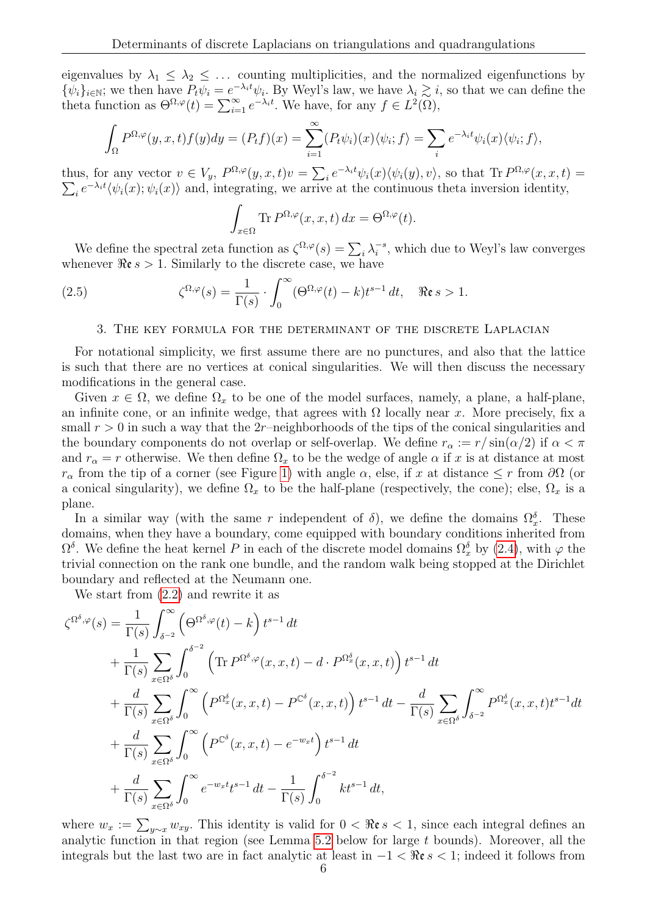eigenvalues by  $\lambda_1 \leq \lambda_2 \leq \ldots$  counting multiplicities, and the normalized eigenfunctions by  $\{\psi_i\}_{i\in\mathbb{N}}$ ; we then have  $P_t\psi_i = e^{-\lambda_i t}\psi_i$ . By Weyl's law, we have  $\lambda_i \gtrsim i$ , so that we can define the theta function as  $\Theta^{\Omega,\varphi}(t) = \sum_{i=1}^{\infty} e^{-\lambda_i t}$ . We have, for any  $f \in L^2(\Omega)$ ,

$$
\int_{\Omega} P^{\Omega,\varphi}(y,x,t)f(y)dy = (P_tf)(x) = \sum_{i=1}^{\infty} (P_t\psi_i)(x)\langle\psi_i;f\rangle = \sum_i e^{-\lambda_i t}\psi_i(x)\langle\psi_i;f\rangle,
$$

thus, for any vector  $v \in V_y$ ,  $P^{\Omega,\varphi}(y,x,t)v = \sum_i e^{-\lambda_i t} \psi_i(x) \langle \psi_i(y), v \rangle$ , so that  $\text{Tr } P^{\Omega,\varphi}(x,x,t) =$  $\sum_i e^{-\lambda_i t} \langle \psi_i(x); \psi_i(x) \rangle$  and, integrating, we arrive at the continuous theta inversion identity,

$$
\int_{x \in \Omega} \text{Tr} \, P^{\Omega, \varphi}(x, x, t) \, dx = \Theta^{\Omega, \varphi}(t).
$$

We define the spectral zeta function as  $\zeta^{\Omega,\varphi}(s) = \sum_i \lambda_i^{-s}$  $i^{s}$ , which due to Weyl's law converges whenever  $\Re \epsilon s > 1$ . Similarly to the discrete case, we have

(2.5) 
$$
\zeta^{\Omega,\varphi}(s) = \frac{1}{\Gamma(s)} \cdot \int_0^\infty (\Theta^{\Omega,\varphi}(t) - k) t^{s-1} dt, \quad \Re \mathfrak{e} s > 1.
$$

# <span id="page-5-1"></span>3. The key formula for the determinant of the discrete Laplacian

<span id="page-5-0"></span>For notational simplicity, we first assume there are no punctures, and also that the lattice is such that there are no vertices at conical singularities. We will then discuss the necessary modifications in the general case.

Given  $x \in \Omega$ , we define  $\Omega_x$  to be one of the model surfaces, namely, a plane, a half-plane, an infinite cone, or an infinite wedge, that agrees with  $\Omega$  locally near x. More precisely, fix a small  $r > 0$  in such a way that the 2r–neighborhoods of the tips of the conical singularities and the boundary components do not overlap or self-overlap. We define  $r_{\alpha} := r/\sin(\alpha/2)$  if  $\alpha < \pi$ and  $r_{\alpha} = r$  otherwise. We then define  $\Omega_x$  to be the wedge of angle  $\alpha$  if x is at distance at most  $r_{\alpha}$  from the tip of a corner (see Figure [1\)](#page-10-0) with angle  $\alpha$ , else, if x at distance  $\leq r$  from  $\partial\Omega$  (or a conical singularity), we define  $\Omega_x$  to be the half-plane (respectively, the cone); else,  $\Omega_x$  is a plane.

In a similar way (with the same r independent of  $\delta$ ), we define the domains  $\Omega_x^{\delta}$ . These domains, when they have a boundary, come equipped with boundary conditions inherited from  $\Omega^{\delta}$ . We define the heat kernel P in each of the discrete model domains  $\Omega^{\delta}_x$  by [\(2.4\)](#page-3-0), with  $\varphi$  the trivial connection on the rank one bundle, and the random walk being stopped at the Dirichlet boundary and reflected at the Neumann one.

We start from [\(2.2\)](#page-3-2) and rewrite it as

$$
\zeta^{\Omega^{\delta},\varphi}(s) = \frac{1}{\Gamma(s)} \int_{\delta^{-2}}^{\infty} \left(\Theta^{\Omega^{\delta},\varphi}(t) - k\right) t^{s-1} dt \n+ \frac{1}{\Gamma(s)} \sum_{x \in \Omega^{\delta}} \int_{0}^{\delta^{-2}} \left(\text{Tr } P^{\Omega^{\delta},\varphi}(x,x,t) - d \cdot P^{\Omega_x^{\delta}}(x,x,t)\right) t^{s-1} dt \n+ \frac{d}{\Gamma(s)} \sum_{x \in \Omega^{\delta}} \int_{0}^{\infty} \left(P^{\Omega_x^{\delta}}(x,x,t) - P^{\mathbb{C}^{\delta}}(x,x,t)\right) t^{s-1} dt - \frac{d}{\Gamma(s)} \sum_{x \in \Omega^{\delta}} \int_{\delta^{-2}}^{\infty} P^{\Omega_x^{\delta}}(x,x,t) t^{s-1} dt \n+ \frac{d}{\Gamma(s)} \sum_{x \in \Omega^{\delta}} \int_{0}^{\infty} \left(P^{\mathbb{C}^{\delta}}(x,x,t) - e^{-w_x t}\right) t^{s-1} dt \n+ \frac{d}{\Gamma(s)} \sum_{x \in \Omega^{\delta}} \int_{0}^{\infty} e^{-w_x t} t^{s-1} dt - \frac{1}{\Gamma(s)} \int_{0}^{\delta^{-2}} k t^{s-1} dt,
$$

where  $w_x := \sum_{y \sim x} w_{xy}$ . This identity is valid for  $0 < \Re \epsilon s < 1$ , since each integral defines an analytic function in that region (see Lemma [5.2](#page-9-0) below for large t bounds). Moreover, all the integrals but the last two are in fact analytic at least in  $-1 < \Re \epsilon s < 1$ ; indeed it follows from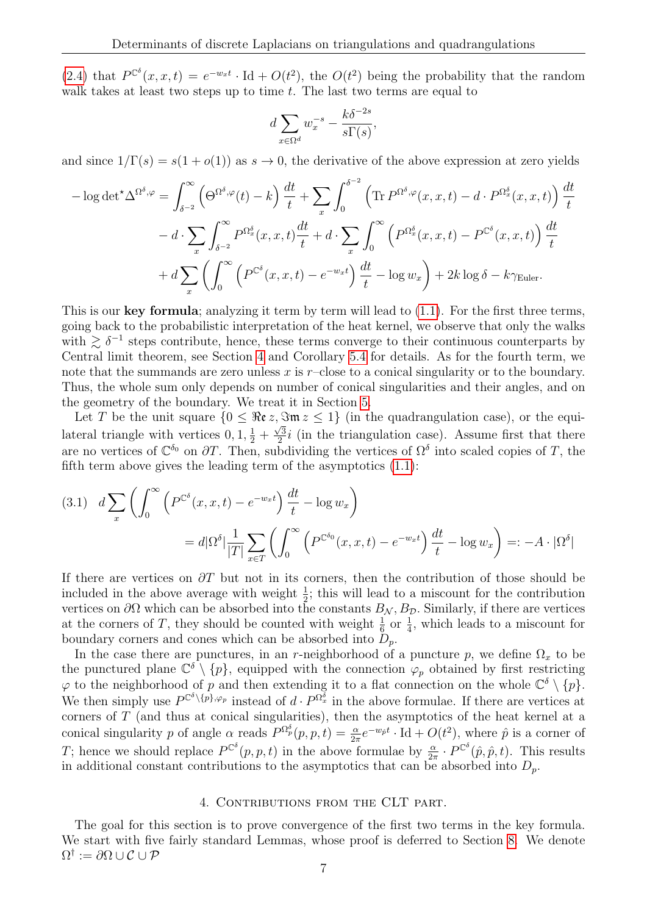[\(2.4\)](#page-3-0) that  $P^{\mathbb{C}^{\delta}}(x, x, t) = e^{-w_x t} \cdot \text{Id} + O(t^2)$ , the  $O(t^2)$  being the probability that the random walk takes at least two steps up to time  $t$ . The last two terms are equal to

$$
d\sum_{x\in\Omega^d} w_x^{-s} - \frac{k\delta^{-2s}}{s\Gamma(s)},
$$

and since  $1/\Gamma(s) = s(1 + o(1))$  as  $s \to 0$ , the derivative of the above expression at zero yields

$$
-\log \det^{\star} \Delta^{\Omega^{\delta}, \varphi} = \int_{\delta^{-2}}^{\infty} \left( \Theta^{\Omega^{\delta}, \varphi}(t) - k \right) \frac{dt}{t} + \sum_{x} \int_{0}^{\delta^{-2}} \left( \text{Tr } P^{\Omega^{\delta}, \varphi}(x, x, t) - d \cdot P^{\Omega_x^{\delta}}(x, x, t) \right) \frac{dt}{t}
$$

$$
- d \cdot \sum_{x} \int_{\delta^{-2}}^{\infty} P^{\Omega_x^{\delta}}(x, x, t) \frac{dt}{t} + d \cdot \sum_{x} \int_{0}^{\infty} \left( P^{\Omega_x^{\delta}}(x, x, t) - P^{\mathbb{C}^{\delta}}(x, x, t) \right) \frac{dt}{t}
$$

$$
+ d \sum_{x} \left( \int_{0}^{\infty} \left( P^{\mathbb{C}^{\delta}}(x, x, t) - e^{-w_x t} \right) \frac{dt}{t} - \log w_x \right) + 2k \log \delta - k \gamma_{\text{Euler}}.
$$

This is our key formula; analyzing it term by term will lead to  $(1.1)$ . For the first three terms, going back to the probabilistic interpretation of the heat kernel, we observe that only the walks with  $\gtrsim \delta^{-1}$  steps contribute, hence, these terms converge to their continuous counterparts by Central limit theorem, see Section [4](#page-6-1) and Corollary [5.4](#page-9-1) for details. As for the fourth term, we note that the summands are zero unless  $x$  is  $r$ –close to a conical singularity or to the boundary. Thus, the whole sum only depends on number of conical singularities and their angles, and on the geometry of the boundary. We treat it in Section [5.](#page-8-0)

Let T be the unit square  $\{0 \leq \Re\mathfrak{e} z, \Im\mathfrak{m} z \leq 1\}$  (in the quadrangulation case), or the equilateral triangle with vertices  $0, 1, \frac{1}{2} + \frac{\sqrt{3}}{2}$  $\frac{\sqrt{3}}{2}i$  (in the triangulation case). Assume first that there are no vertices of  $\mathbb{C}^{\delta_0}$  on  $\partial T$ . Then, subdividing the vertices of  $\Omega^{\delta}$  into scaled copies of T, the fifth term above gives the leading term of the asymptotics [\(1.1\)](#page-0-1):

<span id="page-6-0"></span>
$$
(3.1) \quad d \sum_{x} \left( \int_{0}^{\infty} \left( P^{\mathbb{C}^{\delta}}(x, x, t) - e^{-w_{x}t} \right) \frac{dt}{t} - \log w_{x} \right)
$$

$$
= d |\Omega^{\delta}| \frac{1}{|T|} \sum_{x \in T} \left( \int_{0}^{\infty} \left( P^{\mathbb{C}^{\delta_{0}}}(x, x, t) - e^{-w_{x}t} \right) \frac{dt}{t} - \log w_{x} \right) =: -A \cdot |\Omega^{\delta}|
$$

If there are vertices on  $\partial T$  but not in its corners, then the contribution of those should be included in the above average with weight  $\frac{1}{2}$ ; this will lead to a miscount for the contribution vertices on  $\partial\Omega$  which can be absorbed into the constants  $B_N$ ,  $B_\mathcal{D}$ . Similarly, if there are vertices at the corners of T, they should be counted with weight  $\frac{1}{6}$  or  $\frac{1}{4}$ , which leads to a miscount for boundary corners and cones which can be absorbed into  $D_p$ .

In the case there are punctures, in an r-neighborhood of a puncture p, we define  $\Omega_x$  to be the punctured plane  $\mathbb{C}^{\delta} \setminus \{p\}$ , equipped with the connection  $\varphi_p$  obtained by first restricting  $\varphi$  to the neighborhood of p and then extending it to a flat connection on the whole  $\mathbb{C}^{\delta} \setminus \{p\}.$ We then simply use  $P^{\mathbb{C}^{\delta}\setminus\{p\},\varphi_p}$  instead of  $d \cdot P^{\Omega_x^{\delta}}$  in the above formulae. If there are vertices at corners of  $T$  (and thus at conical singularities), then the asymptotics of the heat kernel at a conical singularity p of angle  $\alpha$  reads  $P^{\Omega_p^{\delta}}(p, p, t) = \frac{\alpha}{2\pi} e^{-w_p t} \cdot \text{Id} + O(t^2)$ , where  $\hat{p}$  is a corner of T; hence we should replace  $P^{\mathbb{C}^{\delta}}(p, p, t)$  in the above formulae by  $\frac{\alpha}{2\pi} \cdot P^{\mathbb{C}^{\delta}}(\hat{p}, \hat{p}, t)$ . This results in additional constant contributions to the asymptotics that can be absorbed into  $D_n$ .

## 4. CONTRIBUTIONS FROM THE CLT PART.

<span id="page-6-1"></span>The goal for this section is to prove convergence of the first two terms in the key formula. We start with five fairly standard Lemmas, whose proof is deferred to Section [8.](#page-15-1) We denote  $\Omega^\dagger:=\partial\Omega\cup\mathcal{C}\cup\mathcal{P}$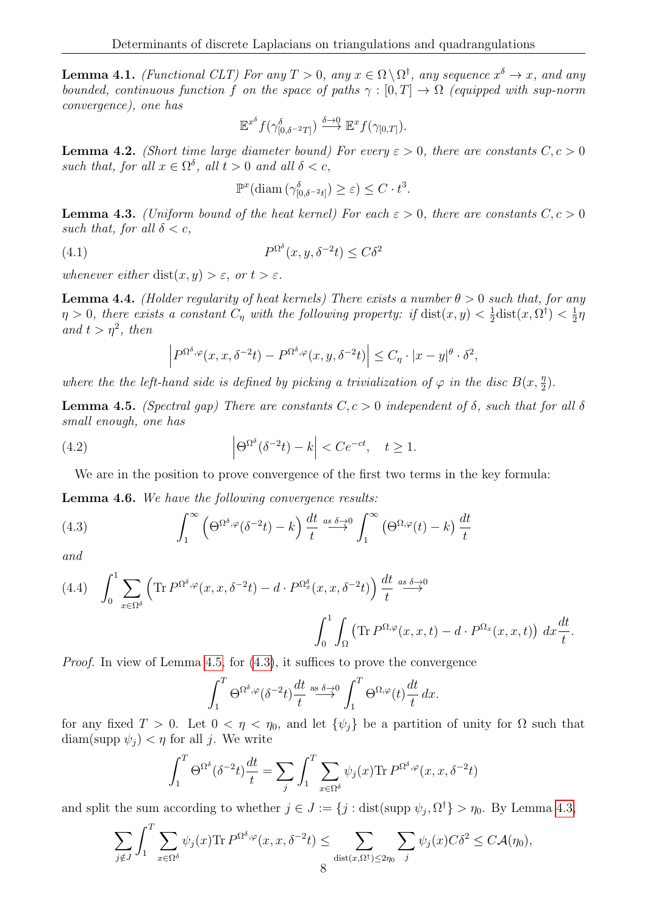<span id="page-7-7"></span>**Lemma 4.1.** (Functional CLT) For any  $T > 0$ , any  $x \in \Omega \setminus \Omega^{\dagger}$ , any sequence  $x^{\delta} \to x$ , and any bounded, continuous function f on the space of paths  $\gamma : [0, T] \to \Omega$  (equipped with sup-norm convergence), one has

$$
\mathbb{E}^{x^{\delta}} f(\gamma_{[0,\delta^{-2}T]}^{\delta}) \stackrel{\delta \to 0}{\longrightarrow} \mathbb{E}^{x} f(\gamma_{[0,T]}).
$$

<span id="page-7-2"></span>**Lemma 4.2.** (Short time large diameter bound) For every  $\varepsilon > 0$ , there are constants  $C, c > 0$ such that, for all  $x \in \Omega^{\delta}$ , all  $t > 0$  and all  $\delta < c$ ,

<span id="page-7-0"></span>
$$
\mathbb{P}^x(\text{diam}(\gamma_{[0,\delta^{-2}t]}^{\delta}) \geq \varepsilon) \leq C \cdot t^3.
$$

<span id="page-7-5"></span>**Lemma 4.3.** (Uniform bound of the heat kernel) For each  $\varepsilon > 0$ , there are constants  $C, c > 0$ such that, for all  $\delta < c$ ,

(4.1) 
$$
P^{\Omega^{\delta}}(x, y, \delta^{-2}t) \leq C\delta^2
$$

whenever either dist $(x, y) > \varepsilon$ , or  $t > \varepsilon$ .

<span id="page-7-6"></span>**Lemma 4.4.** (Holder regularity of heat kernels) There exists a number  $\theta > 0$  such that, for any  $\eta > 0$ , there exists a constant  $C_{\eta}$  with the following property: if  $dist(x, y) < \frac{1}{2}$  $\frac{1}{2}$ dist $(x, \Omega^{\dagger}) < \frac{1}{2}$  $rac{1}{2}\eta$ and  $t > \eta^2$ , then

$$
\left| P^{\Omega^{\delta},\varphi}(x,x,\delta^{-2}t) - P^{\Omega^{\delta},\varphi}(x,y,\delta^{-2}t) \right| \leq C_{\eta} \cdot |x-y|^{\theta} \cdot \delta^{2},
$$

where the the left-hand side is defined by picking a trivialization of  $\varphi$  in the disc  $B(x, \frac{\eta}{2})$ .

<span id="page-7-3"></span>**Lemma 4.5.** (Spectral gap) There are constants  $C, c > 0$  independent of  $\delta$ , such that for all  $\delta$ small enough, one has

(4.2) 
$$
\left|\Theta^{\Omega^{\delta}}(\delta^{-2}t) - k\right| < Ce^{-ct}, \quad t \ge 1.
$$

<span id="page-7-4"></span>We are in the position to prove convergence of the first two terms in the key formula:

<span id="page-7-1"></span>Lemma 4.6. We have the following convergence results:

(4.3) 
$$
\int_{1}^{\infty} \left( \Theta^{\Omega^{\delta}, \varphi}(\delta^{-2}t) - k \right) \frac{dt}{t} \stackrel{as \delta \to 0}{\longrightarrow} \int_{1}^{\infty} \left( \Theta^{\Omega, \varphi}(t) - k \right) \frac{dt}{t}
$$

and

<span id="page-7-8"></span>(4.4) 
$$
\int_0^1 \sum_{x \in \Omega^\delta} \left( \text{Tr} \, P^{\Omega^\delta, \varphi}(x, x, \delta^{-2}t) - d \cdot P^{\Omega^\delta_x}(x, x, \delta^{-2}t) \right) \frac{dt}{t} \stackrel{as \delta \to 0}{\longrightarrow} \\ \int_0^1 \int_\Omega \left( \text{Tr} \, P^{\Omega, \varphi}(x, x, t) - d \cdot P^{\Omega_x}(x, x, t) \right) \, dx \frac{dt}{t}.
$$

*Proof.* In view of Lemma [4.5,](#page-7-3) for  $(4.3)$ , it suffices to prove the convergence

$$
\int_1^T \Theta^{\Omega^\delta, \varphi}(\delta^{-2}t) \frac{dt}{t} \stackrel{\text{as } \delta \to 0}{\longrightarrow} \int_1^T \Theta^{\Omega, \varphi}(t) \frac{dt}{t} dx.
$$

for any fixed  $T > 0$ . Let  $0 < \eta < \eta_0$ , and let  $\{\psi_i\}$  be a partition of unity for  $\Omega$  such that diam(supp  $\psi_i$ )  $\lt \eta$  for all j. We write

$$
\int_1^T \Theta^{\Omega^\delta} (\delta^{-2} t) \frac{dt}{t} = \sum_j \int_1^T \sum_{x \in \Omega^\delta} \psi_j(x) \text{Tr } P^{\Omega^\delta, \varphi}(x, x, \delta^{-2} t)
$$

and split the sum according to whether  $j \in J := \{j : \text{dist}(\text{supp }\psi_j, \Omega^{\dagger}) > \eta_0$ . By Lemma [4.3,](#page-7-5)

$$
\sum_{j \notin J} \int_1^T \sum_{x \in \Omega^\delta} \psi_j(x) \text{Tr } P^{\Omega^\delta, \varphi}(x, x, \delta^{-2}t) \le \sum_{\text{dist}(x, \Omega^\dagger) \le 2\eta_0} \sum_j \psi_j(x) C\delta^2 \le C\mathcal{A}(\eta_0),
$$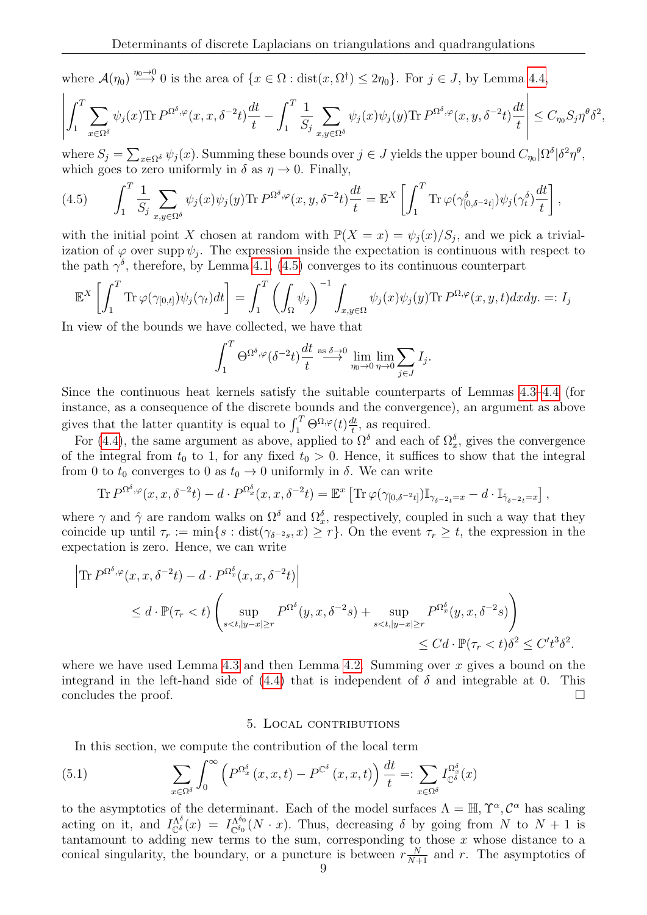where  $\mathcal{A}(\eta_0) \stackrel{\eta_0 \to 0}{\longrightarrow} 0$  is the area of  $\{x \in \Omega : \text{dist}(x, \Omega^{\dagger}) \leq 2\eta_0\}$ . For  $j \in J$ , by Lemma [4.4,](#page-7-6)

$$
\left| \int_1^T \sum_{x \in \Omega^{\delta}} \psi_j(x) \text{Tr} \, P^{\Omega^{\delta}, \varphi}(x, x, \delta^{-2}t) \frac{dt}{t} - \int_1^T \frac{1}{S_j} \sum_{x, y \in \Omega^{\delta}} \psi_j(x) \psi_j(y) \text{Tr} \, P^{\Omega^{\delta}, \varphi}(x, y, \delta^{-2}t) \frac{dt}{t} \right| \leq C_{\eta_0} S_j \eta^{\theta} \delta^2,
$$

where  $S_j = \sum_{x \in \Omega^{\delta}} \psi_j(x)$ . Summing these bounds over  $j \in J$  yields the upper bound  $C_{\eta_0} | \Omega^{\delta} | \delta^2 \eta^{\theta}$ , which goes to zero uniformly in  $\delta$  as  $\eta \to 0$ . Finally,

<span id="page-8-1"></span>(4.5) 
$$
\int_1^T \frac{1}{S_j} \sum_{x,y \in \Omega^{\delta}} \psi_j(x) \psi_j(y) \text{Tr } P^{\Omega^{\delta},\varphi}(x,y,\delta^{-2}t) \frac{dt}{t} = \mathbb{E}^X \left[ \int_1^T \text{Tr } \varphi(\gamma^{\delta}_{[0,\delta^{-2}t]}) \psi_j(\gamma^{\delta}_t) \frac{dt}{t} \right],
$$

with the initial point X chosen at random with  $\mathbb{P}(X = x) = \psi_j(x)/S_j$ , and we pick a trivialization of  $\varphi$  over supp  $\psi_j$ . The expression inside the expectation is continuous with respect to the path  $\gamma^{\delta}$ , therefore, by Lemma [4.1,](#page-7-7) [\(4.5\)](#page-8-1) converges to its continuous counterpart

$$
\mathbb{E}^{X}\left[\int_{1}^{T} \text{Tr}\,\varphi(\gamma_{[0,t]})\psi_{j}(\gamma_{t})dt\right] = \int_{1}^{T} \left(\int_{\Omega} \psi_{j}\right)^{-1} \int_{x,y \in \Omega} \psi_{j}(x)\psi_{j}(y) \text{Tr}\,P^{\Omega,\varphi}(x,y,t) dx dy. \ =: I_{j}
$$

In view of the bounds we have collected, we have that

$$
\int_1^T \Theta^{\Omega^{\delta},\varphi}(\delta^{-2}t) \frac{dt}{t} \stackrel{\text{as } \delta \to 0}{\longrightarrow} \lim_{\eta_0 \to 0} \lim_{\eta \to 0} \sum_{j \in J} I_j.
$$

Since the continuous heat kernels satisfy the suitable counterparts of Lemmas [4.3–](#page-7-5)[4.4](#page-7-6) (for instance, as a consequence of the discrete bounds and the convergence), an argument as above gives that the latter quantity is equal to  $\int_1^T \Theta^{\Omega,\varphi}(t) \frac{dt}{t}$  $\frac{dt}{t}$ , as required.

For [\(4.4\)](#page-7-8), the same argument as above, applied to  $\Omega^{\delta}$  and each of  $\Omega^{\delta}_x$ , gives the convergence of the integral from  $t_0$  to 1, for any fixed  $t_0 > 0$ . Hence, it suffices to show that the integral from 0 to  $t_0$  converges to 0 as  $t_0 \rightarrow 0$  uniformly in  $\delta$ . We can write

$$
\text{Tr } P^{\Omega^{\delta},\varphi}(x,x,\delta^{-2}t) - d \cdot P^{\Omega_x^{\delta}}(x,x,\delta^{-2}t) = \mathbb{E}^x \left[ \text{Tr } \varphi(\gamma_{[0,\delta^{-2}t]}) \mathbb{I}_{\gamma_{\delta^{-2}t} = x} - d \cdot \mathbb{I}_{\hat{\gamma}_{\delta^{-2}t} = x} \right],
$$

where  $\gamma$  and  $\hat{\gamma}$  are random walks on  $\Omega^{\delta}$  and  $\Omega_x^{\delta}$ , respectively, coupled in such a way that they coincide up until  $\tau_r := \min\{s : \text{dist}(\gamma_{\delta^{-2}s}, x) \geq r\}$ . On the event  $\tau_r \geq t$ , the expression in the expectation is zero. Hence, we can write

$$
\left| \text{Tr } P^{\Omega^{\delta},\varphi}(x,x,\delta^{-2}t) - d \cdot P^{\Omega_x^{\delta}}(x,x,\delta^{-2}t) \right|
$$
  
\$\leq d \cdot \mathbb{P}(\tau\_r < t) \left( \sup\_{s < t, |y-x| \geq r} P^{\Omega\_s^{\delta}}(y,x,\delta^{-2}s) + \sup\_{s < t, |y-x| \geq r} P^{\Omega\_x^{\delta}}(y,x,\delta^{-2}s) \right)\$  
\$\leq C d \cdot \mathbb{P}(\tau\_r < t) \delta^2 \leq C' t^3 \delta^2\$.

where we have used Lemma [4.3](#page-7-5) and then Lemma [4.2.](#page-7-2) Summing over x gives a bound on the integrand in the left-hand side of  $(4.4)$  that is independent of  $\delta$  and integrable at 0. This concludes the proof.  $\Box$ 

## <span id="page-8-2"></span>5. Local contributions

<span id="page-8-0"></span>In this section, we compute the contribution of the local term

(5.1) 
$$
\sum_{x \in \Omega^{\delta}} \int_0^{\infty} \left( P^{\Omega_x^{\delta}}(x, x, t) - P^{\mathbb{C}^{\delta}}(x, x, t) \right) \frac{dt}{t} =: \sum_{x \in \Omega^{\delta}} I_{\mathbb{C}^{\delta}}^{\Omega_x^{\delta}}(x)
$$

to the asymptotics of the determinant. Each of the model surfaces  $\Lambda = \mathbb{H}, \Upsilon^{\alpha}, \mathcal{C}^{\alpha}$  has scaling acting on it, and  $I_{\mathbb{C}^{\delta}}^{\Lambda^{\delta}}(x) = I_{\mathbb{C}^{\delta_0}}^{\Lambda^{\delta_0}}(N \cdot x)$ . Thus, decreasing  $\delta$  by going from N to  $N+1$  is tantamount to adding new terms to the sum, corresponding to those  $x$  whose distance to a conical singularity, the boundary, or a puncture is between  $r \frac{N}{N+1}$  and r. The asymptotics of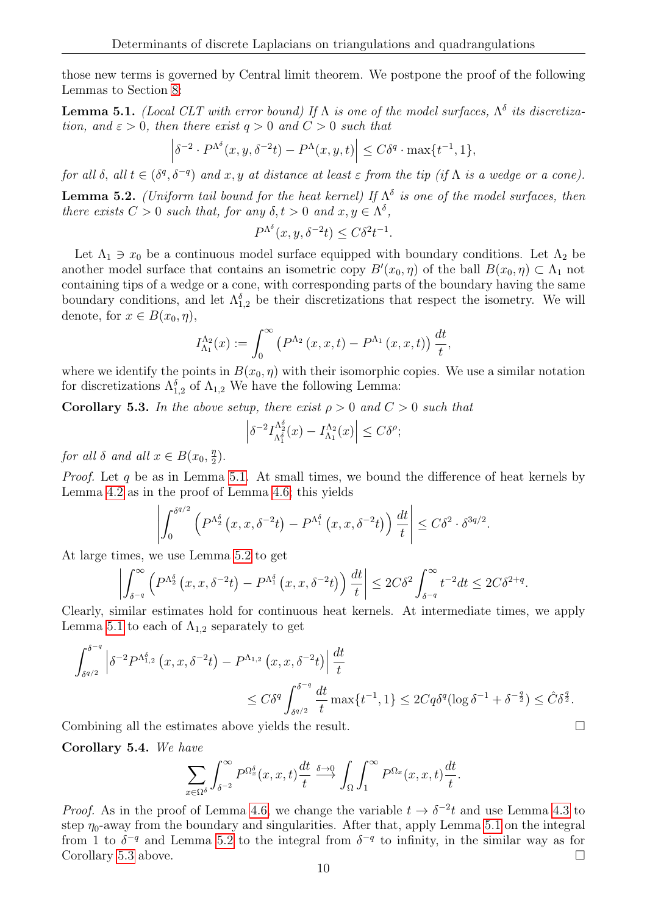those new terms is governed by Central limit theorem. We postpone the proof of the following Lemmas to Section [8:](#page-15-1)

<span id="page-9-2"></span>**Lemma 5.1.** (Local CLT with error bound) If  $\Lambda$  is one of the model surfaces,  $\Lambda^{\delta}$  its discretization, and  $\varepsilon > 0$ , then there exist  $q > 0$  and  $C > 0$  such that

$$
\left|\delta^{-2} \cdot P^{\Lambda^{\delta}}(x, y, \delta^{-2}t) - P^{\Lambda}(x, y, t)\right| \le C\delta^{q} \cdot \max\{t^{-1}, 1\},\
$$

<span id="page-9-0"></span>for all  $\delta$ , all  $t \in (\delta^q, \delta^{-q})$  and  $x, y$  at distance at least  $\varepsilon$  from the tip (if  $\Lambda$  is a wedge or a cone). **Lemma 5.2.** (Uniform tail bound for the heat kernel) If  $\Lambda^{\delta}$  is one of the model surfaces, then there exists  $C > 0$  such that, for any  $\delta, t > 0$  and  $x, y \in \Lambda^{\delta}$ ,

$$
P^{\Lambda^{\delta}}(x, y, \delta^{-2}t) \le C\delta^2 t^{-1}.
$$

Let  $\Lambda_1 \ni x_0$  be a continuous model surface equipped with boundary conditions. Let  $\Lambda_2$  be another model surface that contains an isometric copy  $B'(x_0, \eta)$  of the ball  $B(x_0, \eta) \subset \Lambda_1$  not containing tips of a wedge or a cone, with corresponding parts of the boundary having the same boundary conditions, and let  $\Lambda_{1,2}^{\delta}$  be their discretizations that respect the isometry. We will denote, for  $x \in B(x_0, \eta)$ ,

$$
I_{\Lambda_1}^{\Lambda_2}(x) := \int_0^\infty (P^{\Lambda_2}(x, x, t) - P^{\Lambda_1}(x, x, t)) \frac{dt}{t},
$$

where we identify the points in  $B(x_0, \eta)$  with their isomorphic copies. We use a similar notation for discretizations  $\Lambda_{1,2}^{\delta}$  of  $\Lambda_{1,2}$  We have the following Lemma:

<span id="page-9-3"></span>**Corollary 5.3.** In the above setup, there exist  $\rho > 0$  and  $C > 0$  such that

$$
\left|\delta^{-2}I_{\Lambda_1^\delta}^{\Lambda_2^\delta}(x) - I_{\Lambda_1}^{\Lambda_2}(x)\right| \le C\delta^\rho;
$$

for all  $\delta$  and all  $x \in B(x_0, \frac{\eta}{2})$  $\frac{\eta}{2}$ .

*Proof.* Let q be as in Lemma [5.1.](#page-9-2) At small times, we bound the difference of heat kernels by Lemma [4.2](#page-7-2) as in the proof of Lemma [4.6;](#page-7-1) this yields

$$
\left| \int_0^{\delta^{q/2}} \left( P^{\Lambda_2^{\delta}} \left( x, x, \delta^{-2} t \right) - P^{\Lambda_1^{\delta}} \left( x, x, \delta^{-2} t \right) \right) \frac{dt}{t} \right| \leq C \delta^2 \cdot \delta^{3q/2}.
$$

At large times, we use Lemma [5.2](#page-9-0) to get

$$
\left| \int_{\delta^{-q}}^{\infty} \left( P^{\Lambda_2^{\delta}} \left( x, x, \delta^{-2} t \right) - P^{\Lambda_1^{\delta}} \left( x, x, \delta^{-2} t \right) \right) \frac{dt}{t} \right| \leq 2C \delta^2 \int_{\delta^{-q}}^{\infty} t^{-2} dt \leq 2C \delta^{2+q}.
$$

Clearly, similar estimates hold for continuous heat kernels. At intermediate times, we apply Lemma [5.1](#page-9-2) to each of  $\Lambda_{1,2}$  separately to get

$$
\int_{\delta^{q/2}}^{\delta^{-q}} \left| \delta^{-2} P^{\Lambda_{1,2}^{\delta}} \left( x, x, \delta^{-2} t \right) - P^{\Lambda_{1,2}} \left( x, x, \delta^{-2} t \right) \right| \frac{dt}{t}
$$
  

$$
\leq C \delta^{q} \int_{\delta^{q/2}}^{\delta^{-q}} \frac{dt}{t} \max \{ t^{-1}, 1 \} \leq 2 C q \delta^{q} (\log \delta^{-1} + \delta^{-\frac{q}{2}}) \leq \hat{C} \delta^{\frac{q}{2}}.
$$

Combining all the estimates above yields the result.

<span id="page-9-1"></span>Corollary 5.4. We have

$$
\sum_{x \in \Omega^{\delta}} \int_{\delta^{-2}}^{\infty} P^{\Omega_x^{\delta}}(x, x, t) \frac{dt}{t} \stackrel{\delta \to 0}{\longrightarrow} \int_{\Omega} \int_{1}^{\infty} P^{\Omega_x}(x, x, t) \frac{dt}{t}.
$$

*Proof.* As in the proof of Lemma [4.6,](#page-7-1) we change the variable  $t \to \delta^{-2}t$  and use Lemma [4.3](#page-7-5) to step  $\eta_0$ -away from the boundary and singularities. After that, apply Lemma [5.1](#page-9-2) on the integral from 1 to  $\delta^{-q}$  and Lemma [5.2](#page-9-0) to the integral from  $\delta^{-q}$  to infinity, in the similar way as for Corollary [5.3](#page-9-3) above.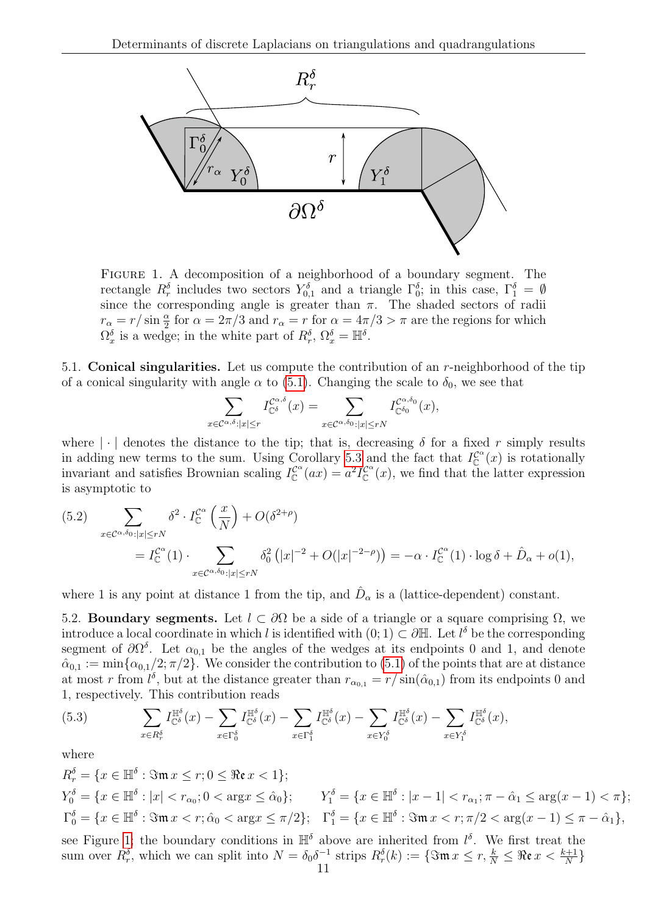

<span id="page-10-0"></span>Figure 1. A decomposition of a neighborhood of a boundary segment. The rectangle  $R_r^{\delta}$  includes two sectors  $Y_{0,1}^{\delta}$  and a triangle  $\Gamma_0^{\delta}$ ; in this case,  $\Gamma_1^{\delta} = \emptyset$ since the corresponding angle is greater than  $\pi$ . The shaded sectors of radii  $r_{\alpha} = r/\sin{\frac{\alpha}{2}}$  for  $\alpha = 2\pi/3$  and  $r_{\alpha} = r$  for  $\alpha = 4\pi/3 > \pi$  are the regions for which  $\Omega_x^{\delta}$  is a wedge; in the white part of  $R_r^{\delta}$ ,  $\Omega_x^{\delta} = \mathbb{H}^{\delta}$ .

5.1. Conical singularities. Let us compute the contribution of an  $r$ -neighborhood of the tip of a conical singularity with angle  $\alpha$  to [\(5.1\)](#page-8-2). Changing the scale to  $\delta_0$ , we see that

$$
\sum_{x \in \mathcal{C}^{\alpha,\delta}:|x| \le r} I_{\mathbb{C}^{\delta}}^{\mathcal{C}^{\alpha,\delta}}(x) = \sum_{x \in \mathcal{C}^{\alpha,\delta_0}:|x| \le rN} I_{\mathbb{C}^{\delta_0}}^{\mathcal{C}^{\alpha,\delta_0}}(x),
$$

where  $|\cdot|$  denotes the distance to the tip; that is, decreasing  $\delta$  for a fixed r simply results in adding new terms to the sum. Using Corollary [5.3](#page-9-3) and the fact that  $I_{\mathbb{C}}^{\mathcal{C}^{\alpha}}(x)$  is rotationally invariant and satisfies Brownian scaling  $I_{\mathbb{C}}^{\mathcal{C}^{\alpha}}(ax) = a^2 I_{\mathbb{C}}^{\mathcal{C}^{\alpha}}(x)$ , we find that the latter expression is asymptotic to

<span id="page-10-3"></span>(5.2) 
$$
\sum_{x \in \mathcal{C}^{\alpha,\delta_0}:|x| \le rN} \delta^2 \cdot I_{\mathbb{C}}^{\mathcal{C}^{\alpha}}\left(\frac{x}{N}\right) + O(\delta^{2+\rho})
$$
  
=  $I_{\mathbb{C}}^{\mathcal{C}^{\alpha}}(1) \cdot \sum_{x \in \mathcal{C}^{\alpha,\delta_0}:|x| \le rN} \delta_0^2\left(|x|^{-2} + O(|x|^{-2-\rho})\right) = -\alpha \cdot I_{\mathbb{C}}^{\mathcal{C}^{\alpha}}(1) \cdot \log \delta + \hat{D}_{\alpha} + o(1),$ 

where 1 is any point at distance 1 from the tip, and  $\hat{D}_{\alpha}$  is a (lattice-dependent) constant.

<span id="page-10-2"></span>5.2. Boundary segments. Let  $l \subset \partial\Omega$  be a side of a triangle or a square comprising  $\Omega$ , we introduce a local coordinate in which l is identified with  $(0,1) \subset \partial \mathbb{H}$ . Let  $l^{\delta}$  be the corresponding segment of  $\partial\Omega^{\delta}$ . Let  $\alpha_{0,1}$  be the angles of the wedges at its endpoints 0 and 1, and denote  $\hat{\alpha}_{0,1} := \min\{\alpha_{0,1}/2;\pi/2\}.$  We consider the contribution to  $(5.1)$  of the points that are at distance at most r from  $l^{\delta}$ , but at the distance greater than  $r_{\alpha_{0,1}} = r/\sin(\hat{\alpha}_{0,1})$  from its endpoints 0 and 1, respectively. This contribution reads

<span id="page-10-1"></span>(5.3) 
$$
\sum_{x \in R_r^{\delta}} I_{\mathbb{C}^{\delta}}^{\mathbb{H}^{\delta}}(x) - \sum_{x \in \Gamma_0^{\delta}} I_{\mathbb{C}^{\delta}}^{\mathbb{H}^{\delta}}(x) - \sum_{x \in \Gamma_1^{\delta}} I_{\mathbb{C}^{\delta}}^{\mathbb{H}^{\delta}}(x) - \sum_{x \in Y_0^{\delta}} I_{\mathbb{C}^{\delta}}^{\mathbb{H}^{\delta}}(x) - \sum_{x \in Y_1^{\delta}} I_{\mathbb{C}^{\delta}}^{\mathbb{H}^{\delta}}(x),
$$

where

 $R_r^{\delta} = \{x \in \mathbb{H}^{\delta} : \Im\mathfrak{m}\,x \leq r; 0 \leq \Re\mathfrak{e}\,x < 1\};$  $Y_0^{\delta} = \{x \in \mathbb{H}^{\delta} : |x| < r_{\alpha_0}; 0 < \text{arg} x \leq \hat{\alpha}_0\};$   $Y_1^{\delta} = \{x \in \mathbb{H}^{\delta} : |x - 1| < r_{\alpha_1}; \pi - \hat{\alpha}_1 \leq \text{arg}(x - 1) < \pi\};$  $\Gamma_0^\delta=\{x\in\mathbb{H}^\delta:\Im\mathfrak{m}\,x< r;\hat{\alpha}_0<\arg x\leq\pi/2\};\quad \Gamma_1^\delta=\{x\in\mathbb{H}^\delta:\Im\mathfrak{m}\,x< r;\pi/2<\arg(x-1)\leq\pi-\hat{\alpha}_1\},$ see Figure [1;](#page-10-0) the boundary conditions in  $\mathbb{H}^{\delta}$  above are inherited from  $l^{\delta}$ . We first treat the sum over  $R_r^{\delta}$ , which we can split into  $N = \delta_0 \delta^{-1}$  strips  $R_r^{\delta}(k) := \{ \Im \mathfrak{m} \, x \leq r, \frac{k}{N} \leq \Re \mathfrak{e} \, x < \frac{k+1}{N} \}$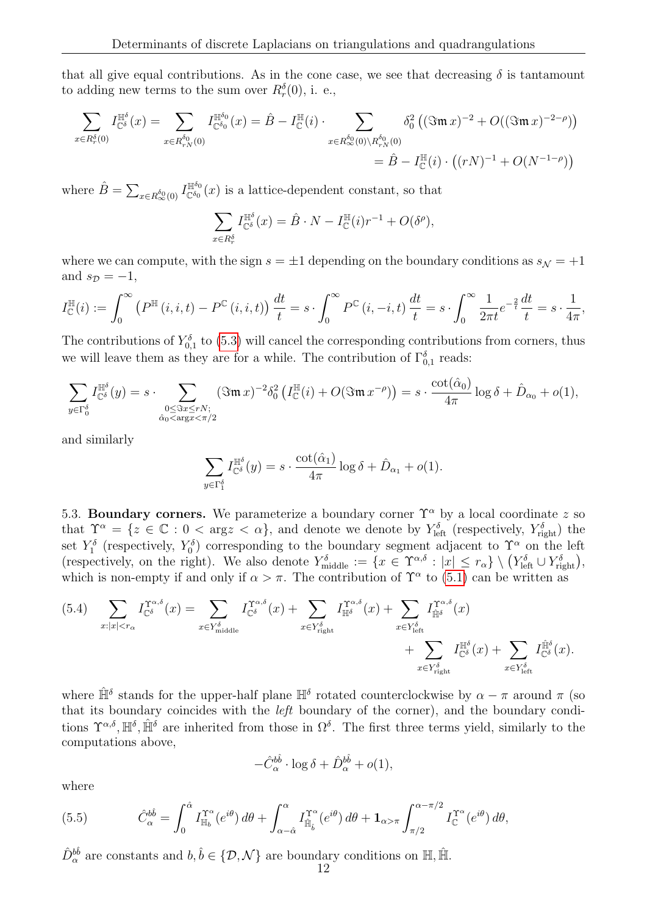that all give equal contributions. As in the cone case, we see that decreasing  $\delta$  is tantamount to adding new terms to the sum over  $R_r^{\delta}(0)$ , i. e.,

$$
\sum_{x \in R_r^{\delta}(0)} I_{\mathbb{C}^{\delta}}^{\mathbb{H}^{\delta}}(x) = \sum_{x \in R_{rN}^{\delta_0}(0)} I_{\mathbb{C}^{\delta_0}}^{\mathbb{H}^{\delta_0}}(x) = \hat{B} - I_{\mathbb{C}}^{\mathbb{H}}(i) \cdot \sum_{x \in R_{\infty}^{\delta_0}(0) \setminus R_{rN}^{\delta_0}(0)} \delta_0^2 \left( (\Im \mathfrak{m} \, x)^{-2} + O((\Im \mathfrak{m} \, x)^{-2-\rho}) \right)
$$

$$
= \hat{B} - I_{\mathbb{C}}^{\mathbb{H}}(i) \cdot \left( (rN)^{-1} + O(N^{-1-\rho}) \right)
$$

where  $\hat{B} = \sum_{x \in R_{\infty}^{\delta_0}(0)} I_{\mathbb{C}^{\delta_0}}^{\mathbb{H}^{\delta_0}}$  $\mathbb{H}^{\circ}(\alpha)$  is a lattice-dependent constant, so that

$$
\sum_{x \in R_r^{\delta}} I_{\mathbb{C}^{\delta}}^{\mathbb{H}^{\delta}}(x) = \hat{B} \cdot N - I_{\mathbb{C}}^{\mathbb{H}}(i) r^{-1} + O(\delta^{\rho}),
$$

where we can compute, with the sign  $s = \pm 1$  depending on the boundary conditions as  $s_N = +1$ and  $s_{\mathcal{D}} = -1$ ,

$$
I_{\mathbb{C}}^{\mathbb{H}}(i) := \int_0^{\infty} \left( P^{\mathbb{H}}(i,i,t) - P^{\mathbb{C}}(i,i,t) \right) \frac{dt}{t} = s \cdot \int_0^{\infty} P^{\mathbb{C}}(i,-i,t) \frac{dt}{t} = s \cdot \int_0^{\infty} \frac{1}{2\pi t} e^{-\frac{2}{t}} \frac{dt}{t} = s \cdot \frac{1}{4\pi},
$$

The contributions of  $Y_{0,1}^{\delta}$  to [\(5.3\)](#page-10-1) will cancel the corresponding contributions from corners, thus we will leave them as they are for a while. The contribution of  $\Gamma_{0,1}^{\delta}$  reads:

$$
\sum_{y \in \Gamma_0^{\delta}} I^{\mathbb{H}^{\delta}}_{\mathbb{C}^{\delta}}(y) = s \cdot \sum_{\substack{0 \leq \Im x \leq rN; \\ \hat{\alpha}_0 < \arg x < \pi/2}} (\Im \mathfrak{m} \, x)^{-2} \delta_0^2 \left( I^{\mathbb{H}}_{\mathbb{C}}(i) + O(\Im \mathfrak{m} \, x^{-\rho}) \right) = s \cdot \frac{\cot(\hat{\alpha}_0)}{4\pi} \log \delta + \hat{D}_{\alpha_0} + o(1),
$$

and similarly

$$
\sum_{y \in \Gamma_1^{\delta}} I_{\mathbb{C}^{\delta}}^{\mathbb{H}^{\delta}}(y) = s \cdot \frac{\cot(\hat{\alpha}_1)}{4\pi} \log \delta + \hat{D}_{\alpha_1} + o(1).
$$

<span id="page-11-2"></span>5.3. Boundary corners. We parameterize a boundary corner  $\Upsilon^{\alpha}$  by a local coordinate z so that  $\Upsilon^{\alpha} = \{z \in \mathbb{C} : 0 < \arg z < \alpha\}$ , and denote we denote by  $Y_{\text{left}}^{\delta}$  (respectively,  $Y_{\text{right}}^{\delta}$ ) the set  $Y_1^{\delta}$  (respectively,  $Y_0^{\delta}$ ) corresponding to the boundary segment adjacent to  $\Upsilon^{\alpha}$  on the left (respectively, on the right). We also denote  $Y_{\text{middle}}^{\delta} := \{x \in \Upsilon^{\alpha,\delta} : |x| \leq r_{\alpha}\} \setminus (Y_{\text{left}}^{\delta} \cup Y_{\text{right}}^{\delta}),$ which is non-empty if and only if  $\alpha > \pi$ . The contribution of  $\Upsilon^{\alpha}$  to [\(5.1\)](#page-8-2) can be written as

<span id="page-11-0"></span>
$$
(5.4) \sum_{x:|x|
$$

where  $\hat{\mathbb{H}}^{\delta}$  stands for the upper-half plane  $\mathbb{H}^{\delta}$  rotated counterclockwise by  $\alpha - \pi$  around  $\pi$  (so that its boundary coincides with the left boundary of the corner), and the boundary conditions  $\Upsilon^{\alpha,\delta}, \mathbb{H}^{\delta}$ ,  $\hat{\mathbb{H}}^{\delta}$  are inherited from those in  $\Omega^{\delta}$ . The first three terms yield, similarly to the computations above,

$$
-\hat{C}_{\alpha}^{b\hat{b}}\cdot\log\delta+\hat{D}_{\alpha}^{b\hat{b}}+o(1),
$$

where

<span id="page-11-1"></span>(5.5) 
$$
\hat{C}_{\alpha}^{b\hat{b}} = \int_0^{\hat{\alpha}} I_{\mathbb{H}_b}^{\Upsilon^{\alpha}}(e^{i\theta}) d\theta + \int_{\alpha-\hat{\alpha}}^{\alpha} I_{\hat{\mathbb{H}}_{\hat{b}}}^{\Upsilon^{\alpha}}(e^{i\theta}) d\theta + \mathbf{1}_{\alpha>\pi} \int_{\pi/2}^{\alpha-\pi/2} I_{\mathbb{C}}^{\Upsilon^{\alpha}}(e^{i\theta}) d\theta,
$$

 $\hat{D}_{\alpha}^{b\hat{b}}$  are constants and  $b, \hat{b} \in \{\mathcal{D}, \mathcal{N}\}\$ are boundary conditions on  $\mathbb{H}, \hat{\mathbb{H}}$ .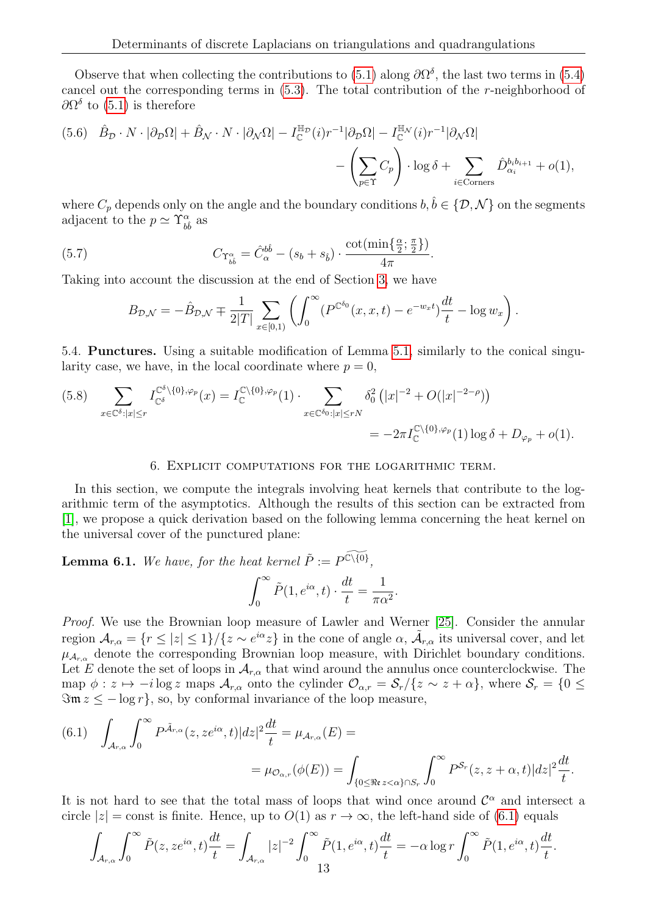Observe that when collecting the contributions to [\(5.1\)](#page-8-2) along  $\partial\Omega^{\delta}$ , the last two terms in [\(5.4\)](#page-11-0) cancel out the corresponding terms in  $(5.3)$ . The total contribution of the *r*-neighborhood of  $\partial\Omega^{\delta}$  to [\(5.1\)](#page-8-2) is therefore

<span id="page-12-3"></span>(5.6) 
$$
\hat{B}_{\mathcal{D}} \cdot N \cdot |\partial_{\mathcal{D}}\Omega| + \hat{B}_{\mathcal{N}} \cdot N \cdot |\partial_{\mathcal{N}}\Omega| - I_{\mathbb{C}}^{\mathbb{H}_{\mathcal{D}}}(i)r^{-1}|\partial_{\mathcal{D}}\Omega| - I_{\mathbb{C}}^{\mathbb{H}_{\mathcal{N}}}(i)r^{-1}|\partial_{\mathcal{N}}\Omega|
$$
  
-  $\left(\sum_{p \in \Upsilon} C_p\right) \cdot \log \delta + \sum_{i \in \text{Corners}} \hat{D}_{\alpha_i}^{b_ib_{i+1}} + o(1),$ 

where  $C_p$  depends only on the angle and the boundary conditions  $b, \hat{b} \in \{D, \mathcal{N}\}\$ on the segments adjacent to the  $p \simeq \Upsilon_{b\hat{b}}^{\alpha}$  as

(5.7) 
$$
C_{\Upsilon_{b\dot{b}}^{\alpha}} = \hat{C}_{\alpha}^{b\hat{b}} - (s_b + s_{\hat{b}}) \cdot \frac{\cot(\min\{\frac{\alpha}{2}; \frac{\pi}{2}\})}{4\pi}.
$$

Taking into account the discussion at the end of Section [3,](#page-5-0) we have

<span id="page-12-1"></span>
$$
B_{\mathcal{D},\mathcal{N}} = -\hat{B}_{\mathcal{D},\mathcal{N}} \mp \frac{1}{2|T|} \sum_{x \in [0,1)} \left( \int_0^\infty (P^{\mathbb{C}^{\delta_0}}(x,x,t) - e^{-w_x t}) \frac{dt}{t} - \log w_x \right).
$$

5.4. Punctures. Using a suitable modification of Lemma [5.1,](#page-9-2) similarly to the conical singularity case, we have, in the local coordinate where  $p = 0$ ,

<span id="page-12-2"></span>
$$
(5.8) \sum_{x \in \mathbb{C}^{\delta}: |x| \le r} I_{\mathbb{C}^{\delta}}^{\mathbb{C}^{\delta} \setminus \{0\}, \varphi_{p}}(x) = I_{\mathbb{C}}^{\mathbb{C} \setminus \{0\}, \varphi_{p}}(1) \cdot \sum_{x \in \mathbb{C}^{\delta_{0}}: |x| \le rN} \delta_{0}^{2} (|x|^{-2} + O(|x|^{-2-\rho}))
$$
  

$$
= -2\pi I_{\mathbb{C}}^{\mathbb{C} \setminus \{0\}, \varphi_{p}}(1) \log \delta + D_{\varphi_{p}} + o(1).
$$

### 6. Explicit computations for the logarithmic term.

<span id="page-12-4"></span>In this section, we compute the integrals involving heat kernels that contribute to the logarithmic term of the asymptotics. Although the results of this section can be extracted from [\[1\]](#page-20-2), we propose a quick derivation based on the following lemma concerning the heat kernel on the universal cover of the punctured plane:

**Lemma 6.1.** We have, for the heat kernel  $\tilde{P} := P^{\widetilde{\mathbb{C} \setminus \{0\}}}$ ,

$$
\int_0^\infty \tilde{P}(1, e^{i\alpha}, t) \cdot \frac{dt}{t} = \frac{1}{\pi \alpha^2}.
$$

Proof. We use the Brownian loop measure of Lawler and Werner [\[25\]](#page-21-23). Consider the annular region  $\mathcal{A}_{r,\alpha} = \{r \leq |z| \leq 1\}/\{z \sim e^{i\alpha}z\}$  in the cone of angle  $\alpha$ ,  $\tilde{\mathcal{A}}_{r,\alpha}$  its universal cover, and let  $\mu_{A_{r,q}}$  denote the corresponding Brownian loop measure, with Dirichlet boundary conditions. Let E denote the set of loops in  $\mathcal{A}_{r,\alpha}$  that wind around the annulus once counterclockwise. The map  $\phi: z \mapsto -i \log z$  maps  $\mathcal{A}_{r,\alpha}$  onto the cylinder  $\mathcal{O}_{\alpha,r} = \mathcal{S}_r/\{z \sim z + \alpha\}$ , where  $\mathcal{S}_r = \{0 \leq$  $\mathfrak{Im} z \leq -\log r$ , so, by conformal invariance of the loop measure,

<span id="page-12-0"></span>(6.1) 
$$
\int_{\mathcal{A}_{r,\alpha}} \int_0^{\infty} P^{\tilde{\mathcal{A}}_{r,\alpha}}(z,ze^{i\alpha},t)|dz|^2 \frac{dt}{t} = \mu_{\mathcal{A}_{r,\alpha}}(E) =
$$
  

$$
= \mu_{\mathcal{O}_{\alpha,r}}(\phi(E)) = \int_{\{0 \le \Re e \, z < \alpha\} \cap S_r} \int_0^{\infty} P^{\mathcal{S}_r}(z, z + \alpha, t)|dz|^2 \frac{dt}{t}.
$$

It is not hard to see that the total mass of loops that wind once around  $\mathcal{C}^{\alpha}$  and intersect a circle  $|z|$  = const is finite. Hence, up to  $O(1)$  as  $r \to \infty$ , the left-hand side of [\(6.1\)](#page-12-0) equals

$$
\int_{\mathcal{A}_{r,\alpha}} \int_0^{\infty} \tilde{P}(z,ze^{i\alpha},t) \frac{dt}{t} = \int_{\mathcal{A}_{r,\alpha}} |z|^{-2} \int_0^{\infty} \tilde{P}(1,e^{i\alpha},t) \frac{dt}{t} = -\alpha \log r \int_0^{\infty} \tilde{P}(1,e^{i\alpha},t) \frac{dt}{t}.
$$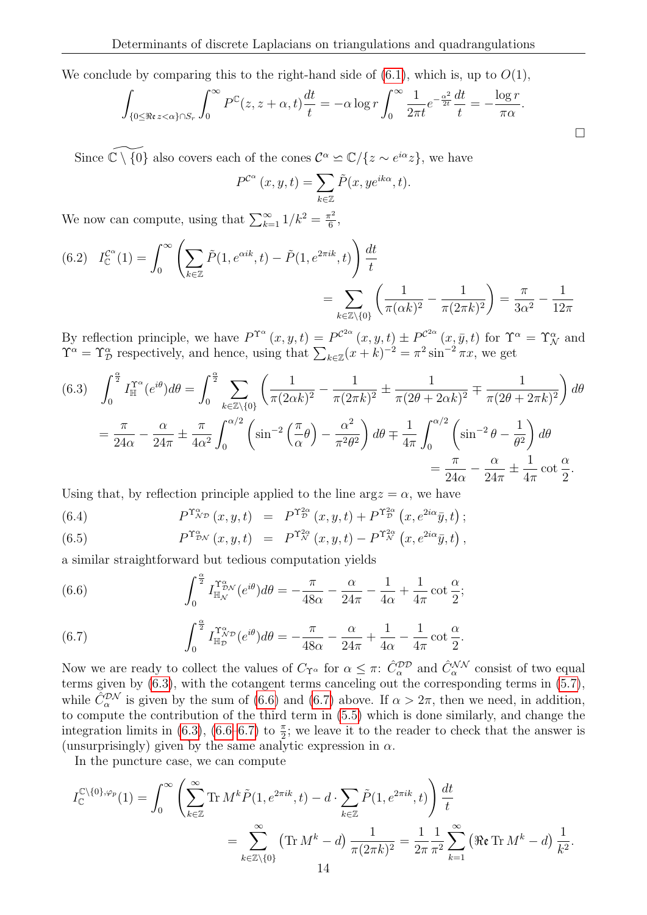We conclude by comparing this to the right-hand side of  $(6.1)$ , which is, up to  $O(1)$ ,

$$
\int_{\{0 \le \Re\epsilon z < \alpha\} \cap S_r} \int_0^\infty P^\mathbb{C}(z, z + \alpha, t) \frac{dt}{t} = -\alpha \log r \int_0^\infty \frac{1}{2\pi t} e^{-\frac{\alpha^2}{2t}} \frac{dt}{t} = -\frac{\log r}{\pi \alpha}.
$$

Since  $\widetilde{\mathbb{C}\setminus\{0\}}$  also covers each of the cones  $\mathcal{C}^{\alpha} \simeq \mathbb{C}/\{z \sim e^{i\alpha}z\}$ , we have

$$
P^{\mathcal{C}^{\alpha}}(x, y, t) = \sum_{k \in \mathbb{Z}} \tilde{P}(x, y e^{ik\alpha}, t).
$$

We now can compute, using that  $\sum_{k=1}^{\infty} 1/k^2 = \frac{\pi^2}{6}$  $\frac{\tau^2}{6}$ ,

(6.2) 
$$
I_{\mathbb{C}}^{C^{\alpha}}(1) = \int_0^{\infty} \left( \sum_{k \in \mathbb{Z}} \tilde{P}(1, e^{\alpha i k}, t) - \tilde{P}(1, e^{2\pi i k}, t) \right) \frac{dt}{t}
$$

$$
= \sum_{k \in \mathbb{Z} \setminus \{0\}} \left( \frac{1}{\pi (\alpha k)^2} - \frac{1}{\pi (2\pi k)^2} \right) = \frac{\pi}{3\alpha^2} - \frac{1}{12\pi}
$$

By reflection principle, we have  $P^{\Upsilon^{\alpha}}(x, y, t) = P^{\mathcal{C}^{2\alpha}}(x, y, t) \pm P^{\mathcal{C}^{2\alpha}}(x, \bar{y}, t)$  for  $\Upsilon^{\alpha} = \Upsilon^{\alpha}_{\mathcal{N}}$  and  $\Upsilon^{\alpha} = \Upsilon^{\alpha}_{\mathcal{D}}$  respectively, and hence, using that  $\sum_{k \in \mathbb{Z}} (x + k)^{-2} = \pi^2 \sin^{-2} \pi x$ , we get

<span id="page-13-0"></span>(6.3) 
$$
\int_0^{\frac{\alpha}{2}} I_{\mathbb{H}}^{\Upsilon^{\alpha}} (e^{i\theta}) d\theta = \int_0^{\frac{\alpha}{2}} \sum_{k \in \mathbb{Z} \setminus \{0\}} \left( \frac{1}{\pi (2\alpha k)^2} - \frac{1}{\pi (2\pi k)^2} \pm \frac{1}{\pi (2\theta + 2\alpha k)^2} \mp \frac{1}{\pi (2\theta + 2\pi k)^2} \right) d\theta
$$

$$
= \frac{\pi}{24\alpha} - \frac{\alpha}{24\pi} \pm \frac{\pi}{4\alpha^2} \int_0^{\alpha/2} \left( \sin^{-2} \left( \frac{\pi}{\alpha} \theta \right) - \frac{\alpha^2}{\pi^2 \theta^2} \right) d\theta \mp \frac{1}{4\pi} \int_0^{\alpha/2} \left( \sin^{-2} \theta - \frac{1}{\theta^2} \right) d\theta
$$

$$
= \frac{\pi}{24\alpha} - \frac{\alpha}{24\pi} \pm \frac{1}{4\pi} \cot \frac{\alpha}{2}.
$$

Using that, by reflection principle applied to the line  $\arg z = \alpha$ , we have

(6.4) 
$$
P^{\Upsilon_{\mathcal{N}\mathcal{D}}^{\alpha}}(x,y,t) = P^{\Upsilon_{\mathcal{D}}^{2\alpha}}(x,y,t) + P^{\Upsilon_{\mathcal{D}}^{2\alpha}}(x,e^{2i\alpha}\bar{y},t);
$$

(6.5) 
$$
P^{\Upsilon^{\alpha}_{\mathcal{D}\mathcal{N}}}(x,y,t) = P^{\Upsilon^{\alpha}_{\mathcal{N}}}(x,y,t) - P^{\Upsilon^{\alpha}_{\mathcal{N}}}(x,e^{2i\alpha}\bar{y},t),
$$

a similar straightforward but tedious computation yields

<span id="page-13-1"></span>(6.6) 
$$
\int_0^{\frac{\alpha}{2}} I_{\mathbb{H}_{\mathcal{N}}}^{\Upsilon^{\alpha}_{\mathcal{D}\mathcal{N}}}(e^{i\theta}) d\theta = -\frac{\pi}{48\alpha} - \frac{\alpha}{24\pi} - \frac{1}{4\alpha} + \frac{1}{4\pi} \cot \frac{\alpha}{2};
$$

<span id="page-13-2"></span>(6.7) 
$$
\int_0^{\frac{\alpha}{2}} I_{\mathbb{H}_\mathcal{D}}^{\Upsilon^{\alpha}_{\mathcal{N}\mathcal{D}}}(e^{i\theta}) d\theta = -\frac{\pi}{48\alpha} - \frac{\alpha}{24\pi} + \frac{1}{4\alpha} - \frac{1}{4\pi} \cot \frac{\alpha}{2}.
$$

Now we are ready to collect the values of  $C_{\Upsilon^{\alpha}}$  for  $\alpha \leq \pi$ :  $\hat{C}_{\alpha}^{\mathcal{DD}}$  and  $\hat{C}_{\alpha}^{\mathcal{NN}}$  consist of two equal terms given by [\(6.3\)](#page-13-0), with the cotangent terms canceling out the corresponding terms in [\(5.7\)](#page-12-1), while  $\hat{C}_{\alpha}^{\mathcal{DN}}$  is given by the sum of [\(6.6\)](#page-13-1) and [\(6.7\)](#page-13-2) above. If  $\alpha > 2\pi$ , then we need, in addition, to compute the contribution of the third term in [\(5.5\)](#page-11-1) which is done similarly, and change the integration limits in [\(6.3\)](#page-13-0), [\(6.6](#page-13-1)[–6.7\)](#page-13-2) to  $\frac{\pi}{2}$ ; we leave it to the reader to check that the answer is (unsurprisingly) given by the same analytic expression in  $\alpha$ .

In the puncture case, we can compute

$$
I_{\mathbb{C}}^{\mathbb{C}\backslash\{0\},\varphi_{p}}(1) = \int_{0}^{\infty} \left( \sum_{k\in\mathbb{Z}}^{\infty} \text{Tr } M^{k} \tilde{P}(1,e^{2\pi i k},t) - d \cdot \sum_{k\in\mathbb{Z}} \tilde{P}(1,e^{2\pi i k},t) \right) \frac{dt}{t}
$$
  
= 
$$
\sum_{k\in\mathbb{Z}\backslash\{0\}}^{\infty} (\text{Tr } M^{k} - d) \frac{1}{\pi(2\pi k)^{2}} = \frac{1}{2\pi} \frac{1}{\pi^{2}} \sum_{k=1}^{\infty} (\Re \mathfrak{e} \text{Tr } M^{k} - d) \frac{1}{k^{2}}.
$$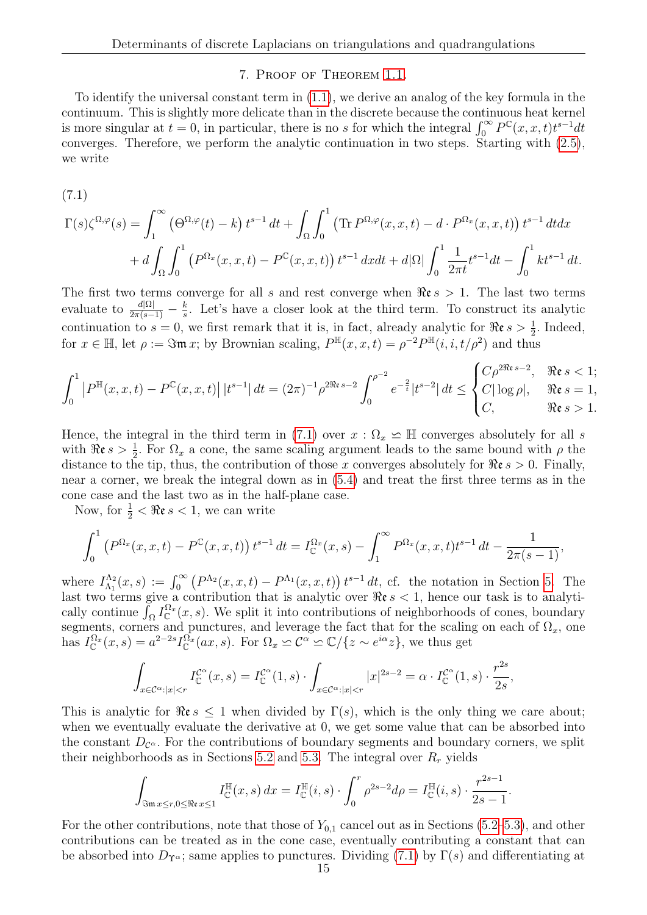## 7. Proof of Theorem [1.1.](#page-0-0)

To identify the universal constant term in [\(1.1\)](#page-0-1), we derive an analog of the key formula in the continuum. This is slightly more delicate than in the discrete because the continuous heat kernel is more singular at  $t = 0$ , in particular, there is no s for which the integral  $\int_0^\infty P^{\mathbb{C}}(x, x, t)t^{s-1}dt$ converges. Therefore, we perform the analytic continuation in two steps. Starting with [\(2.5\)](#page-5-1), we write

<span id="page-14-0"></span>
$$
(7.1)
$$

$$
\Gamma(s)\zeta^{\Omega,\varphi}(s) = \int_1^{\infty} \left(\Theta^{\Omega,\varphi}(t) - k\right) t^{s-1} dt + \int_{\Omega} \int_0^1 \left(\text{Tr } P^{\Omega,\varphi}(x,x,t) - d \cdot P^{\Omega_x}(x,x,t)\right) t^{s-1} dt dx
$$

$$
+ d \int_{\Omega} \int_0^1 \left(P^{\Omega_x}(x,x,t) - P^{\mathbb{C}}(x,x,t)\right) t^{s-1} dx dt + d|\Omega| \int_0^1 \frac{1}{2\pi t} t^{s-1} dt - \int_0^1 kt^{s-1} dt.
$$

The first two terms converge for all s and rest converge when  $\Re \epsilon s > 1$ . The last two terms evaluate to  $\frac{d|\Omega|}{2\pi(s-1)} - \frac{k}{s}$  $\frac{k}{s}$ . Let's have a closer look at the third term. To construct its analytic continuation to  $s = 0$ , we first remark that it is, in fact, already analytic for  $\Re \epsilon s > \frac{1}{2}$ . Indeed, for  $x \in \mathbb{H}$ , let  $\rho := \Im \mathfrak{m} x$ ; by Brownian scaling,  $P^{\mathbb{H}}(x, x, t) = \rho^{-2} P^{\mathbb{H}}(i, i, t/\rho^2)$  and thus

$$
\int_0^1 \left| P^{\mathbb{H}}(x, x, t) - P^{\mathbb{C}}(x, x, t) \right| |t^{s-1}| \, dt = (2\pi)^{-1} \rho^{2\Re(s-2)} \int_0^{\rho^{-2}} e^{-\frac{2}{t}} |t^{s-2}| \, dt \le \begin{cases} C\rho^{2\Re(s-2)}, & \Re(s < 1; \\ C|\log\rho|, & \Re(s > 1; \\ C, & \Re(s > 1. \end{cases}
$$

Hence, the integral in the third term in [\(7.1\)](#page-14-0) over  $x : \Omega_x \simeq \mathbb{H}$  converges absolutely for all s with  $\Re \varepsilon s > \frac{1}{2}$ . For  $\Omega_x$  a cone, the same scaling argument leads to the same bound with  $\rho$  the distance to the tip, thus, the contribution of those x converges absolutely for  $\Re \epsilon s > 0$ . Finally, near a corner, we break the integral down as in [\(5.4\)](#page-11-0) and treat the first three terms as in the cone case and the last two as in the half-plane case.

Now, for  $\frac{1}{2} < \Re\mathfrak{e} s < 1$ , we can write

$$
\int_0^1 \left( P^{\Omega_x}(x, x, t) - P^{\mathbb{C}}(x, x, t) \right) t^{s-1} dt = I_{\mathbb{C}}^{\Omega_x}(x, s) - \int_1^\infty P^{\Omega_x}(x, x, t) t^{s-1} dt - \frac{1}{2\pi(s-1)},
$$

where  $I_{\Lambda_1}^{\Lambda_2}$  $\Lambda_1^{\Lambda_2}(x,s) := \int_0^\infty \left( P^{\Lambda_2}(x,x,t) - P^{\Lambda_1}(x,x,t) \right) t^{s-1} dt$ , cf. the notation in Section [5.](#page-8-0) The last two terms give a contribution that is analytic over  $\Re \epsilon s < 1$ , hence our task is to analytically continue  $\int_{\Omega} I_{\mathbb{C}}^{\Omega_x}(x, s)$ . We split it into contributions of neighborhoods of cones, boundary segments, corners and punctures, and leverage the fact that for the scaling on each of  $\Omega_x$ , one has  $I_{\mathbb{C}}^{\Omega_x}(x,s) = a^{2-2s} I_{\mathbb{C}}^{\Omega_x}(ax,s)$ . For  $\Omega_x \simeq C^{\alpha} \simeq \mathbb{C}/\{z \sim e^{i\alpha}z\}$ , we thus get

$$
\int_{x \in \mathcal{C}^{\alpha}: |x| < r} I_{\mathbb{C}}^{\mathcal{C}^{\alpha}}(x, s) = I_{\mathbb{C}}^{\mathcal{C}^{\alpha}}(1, s) \cdot \int_{x \in \mathcal{C}^{\alpha}: |x| < r} |x|^{2s - 2} = \alpha \cdot I_{\mathbb{C}}^{\mathcal{C}^{\alpha}}(1, s) \cdot \frac{r^{2s}}{2s},
$$

This is analytic for  $\Re \epsilon s \leq 1$  when divided by  $\Gamma(s)$ , which is the only thing we care about; when we eventually evaluate the derivative at 0, we get some value that can be absorbed into the constant  $D_{\mathcal{C}^{\alpha}}$ . For the contributions of boundary segments and boundary corners, we split their neighborhoods as in Sections [5.2](#page-10-2) and [5.3.](#page-11-2) The integral over  $R_r$  yields

$$
\int_{\Im \mathfrak{m} x \le r, 0 \le \Re \mathfrak{e} x \le 1} I_{\mathbb{C}}^{\mathbb{H}}(x, s) dx = I_{\mathbb{C}}^{\mathbb{H}}(i, s) \cdot \int_{0}^{r} \rho^{2s-2} d\rho = I_{\mathbb{C}}^{\mathbb{H}}(i, s) \cdot \frac{r^{2s-1}}{2s-1}.
$$

For the other contributions, note that those of  $Y_{0,1}$  cancel out as in Sections [\(5.2–](#page-10-2)[5.3\)](#page-11-2), and other contributions can be treated as in the cone case, eventually contributing a constant that can be absorbed into  $D_{\Upsilon^{\alpha}}$ ; same applies to punctures. Dividing [\(7.1\)](#page-14-0) by Γ(s) and differentiating at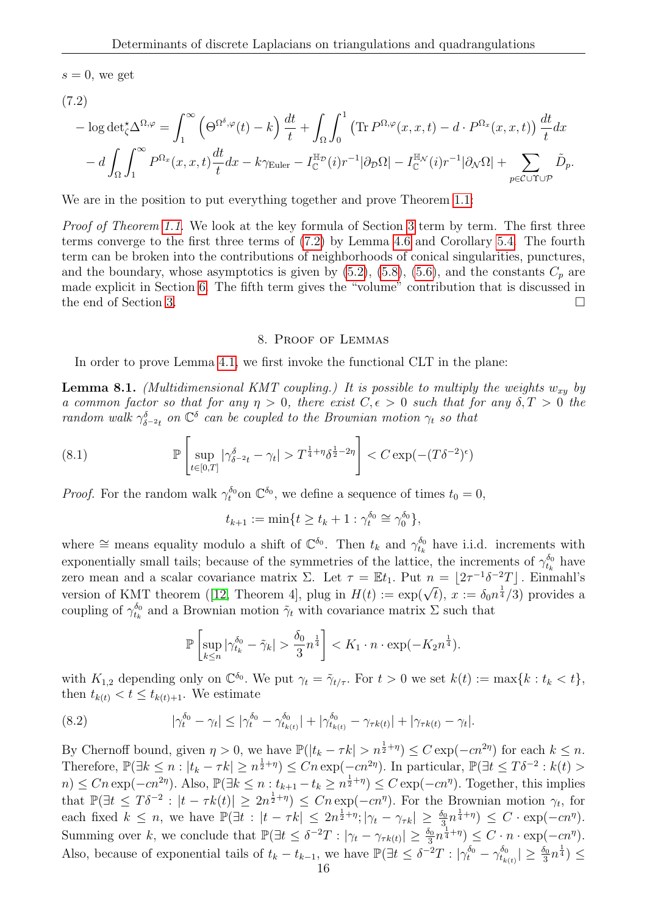$s = 0$ , we get

<span id="page-15-2"></span>
$$
(7.2)
$$

$$
-\log \det_{\zeta}^{\star} \Delta^{\Omega, \varphi} = \int_{1}^{\infty} \left( \Theta^{\Omega^{\delta}, \varphi}(t) - k \right) \frac{dt}{t} + \int_{\Omega} \int_{0}^{1} \left( \text{Tr } P^{\Omega, \varphi}(x, x, t) - d \cdot P^{\Omega_x}(x, x, t) \right) \frac{dt}{t} dx - d \int_{\Omega} \int_{1}^{\infty} P^{\Omega_x}(x, x, t) \frac{dt}{t} dx - k \gamma_{\text{Euler}} - I_{\mathbb{C}}^{\mathbb{H}_{\mathcal{D}}}(i) r^{-1} |\partial_{\mathcal{D}} \Omega| - I_{\mathbb{C}}^{\mathbb{H}_{\mathcal{N}}}(i) r^{-1} |\partial_{\mathcal{N}} \Omega| + \sum_{p \in \mathcal{C} \cup \Upsilon \cup \mathcal{P}} \tilde{D}_p.
$$

We are in the position to put everything together and prove Theorem [1.1:](#page-0-0)

Proof of Theorem [1.1.](#page-0-0) We look at the key formula of Section [3](#page-5-0) term by term. The first three terms converge to the first three terms of [\(7.2\)](#page-15-2) by Lemma [4.6](#page-7-1) and Corollary [5.4.](#page-9-1) The fourth term can be broken into the contributions of neighborhoods of conical singularities, punctures, and the boundary, whose asymptotics is given by  $(5.2)$ ,  $(5.8)$ ,  $(5.6)$ , and the constants  $C_p$  are made explicit in Section [6.](#page-12-4) The fifth term gives the "volume" contribution that is discussed in the end of Section [3.](#page-5-0)

# 8. Proof of Lemmas

<span id="page-15-1"></span>In order to prove Lemma [4.1,](#page-7-7) we first invoke the functional CLT in the plane:

<span id="page-15-0"></span>**Lemma 8.1.** (Multidimensional KMT coupling.) It is possible to multiply the weights  $w_{xy}$  by a common factor so that for any  $\eta > 0$ , there exist  $C, \epsilon > 0$  such that for any  $\delta, T > 0$  the random walk  $\gamma_{\delta^{-2}t}^{\delta}$  on  $\mathbb{C}^{\delta}$  can be coupled to the Brownian motion  $\gamma_t$  so that

(8.1) 
$$
\mathbb{P}\left[\sup_{t\in[0,T]}|\gamma_{\delta^{-2}t}^{\delta}-\gamma_t|>T^{\frac{1}{4}+\eta}\delta^{\frac{1}{2}-2\eta}\right]
$$

*Proof.* For the random walk  $\gamma_t^{\delta_0}$  on  $\mathbb{C}^{\delta_0}$ , we define a sequence of times  $t_0 = 0$ ,

<span id="page-15-4"></span>
$$
t_{k+1} := \min\{t \ge t_k + 1 : \gamma_t^{\delta_0} \cong \gamma_0^{\delta_0}\},
$$

where  $\cong$  means equality modulo a shift of  $\mathbb{C}^{\delta_0}$ . Then  $t_k$  and  $\gamma_{t_k}^{\delta_0}$  have i.i.d. increments with exponentially small tails; because of the symmetries of the lattice, the increments of  $\gamma_{t_k}^{\delta_0}$  have zero mean and a scalar covariance matrix  $\Sigma$ . Let  $\tau = \mathbb{E}t_1$ . Put  $n = \lfloor 2\tau^{-1} \delta^{-2} T \rfloor$ . Einmahl's versionof KMT theorem ([\[12,](#page-21-24) Theorem 4], plug in  $H(t) := \exp(\sqrt{t})$ ,  $x := \delta_0 n^{\frac{1}{4}}/3$ ) provides a coupling of  $\gamma_{t_k}^{\delta_0}$  and a Brownian motion  $\tilde{\gamma}_t$  with covariance matrix  $\Sigma$  such that

<span id="page-15-3"></span>
$$
\mathbb{P}\left[\sup_{k\leq n}|\gamma_{t_k}^{\delta_0}-\tilde{\gamma}_k|>\frac{\delta_0}{3}n^{\frac{1}{4}}\right]
$$

with  $K_{1,2}$  depending only on  $\mathbb{C}^{\delta_0}$ . We put  $\gamma_t = \tilde{\gamma}_{t/\tau}$ . For  $t > 0$  we set  $k(t) := \max\{k : t_k < t\},$ then  $t_{k(t)} < t \leq t_{k(t)+1}$ . We estimate

(8.2) 
$$
|\gamma_t^{\delta_0} - \gamma_t| \leq |\gamma_t^{\delta_0} - \gamma_{t_{k(t)}}^{\delta_0}| + |\gamma_{t_{k(t)}}^{\delta_0} - \gamma_{\tau k(t)}| + |\gamma_{\tau k(t)} - \gamma_t|.
$$

By Chernoff bound, given  $\eta > 0$ , we have  $\mathbb{P}(|t_k - \tau k| > n^{\frac{1}{2} + \eta}) \leq C \exp(-cn^{2\eta})$  for each  $k \leq n$ . Therefore,  $\mathbb{P}(\exists k \leq n : |t_k - \tau k| \geq n^{\frac{1}{2} + \eta}) \leq Cn \exp(-cn^{2\eta})$ . In particular,  $\mathbb{P}(\exists t \leq T\delta^{-2} : k(t) >$  $n) \leq C n \exp(-cn^{2\eta})$ . Also,  $\mathbb{P}(\exists k \leq n : t_{k+1} - t_k \geq n^{\frac{1}{2}+\eta}) \leq C \exp(-cn^{\eta})$ . Together, this implies that  $\mathbb{P}(\exists t \leq T\delta^{-2} : |t - \tau k(t)| \geq 2n^{\frac{1}{2}+\eta}) \leq Cn \exp(-cn^{\eta})$ . For the Brownian motion  $\gamma_t$ , for each fixed  $k \leq n$ , we have  $\mathbb{P}(\exists t : |t - \tau k| \leq 2n^{\frac{1}{2} + \eta}; |\gamma_t - \gamma_{\tau k}| \geq \frac{\delta_0}{3}n^{\frac{1}{4} + \eta}) \leq C \cdot \exp(-cn^{\eta}).$ Summing over k, we conclude that  $\mathbb{P}(\exists t \leq \delta^{-2}T : |\gamma_t - \gamma_{\tau k(t)}| \geq \frac{\delta_0}{3} n^{\frac{1}{4} + \eta}) \leq C \cdot n \cdot \exp(-cn^{\eta}).$ Also, because of exponential tails of  $t_k - t_{k-1}$ , we have  $\mathbb{P}(\exists t \leq \delta^{-2}T : |\gamma_t^{\delta_0} - \gamma_{t_{k(t)}}^{\delta_0}| \geq \frac{\delta_0}{3}n^{\frac{1}{4}}) \leq$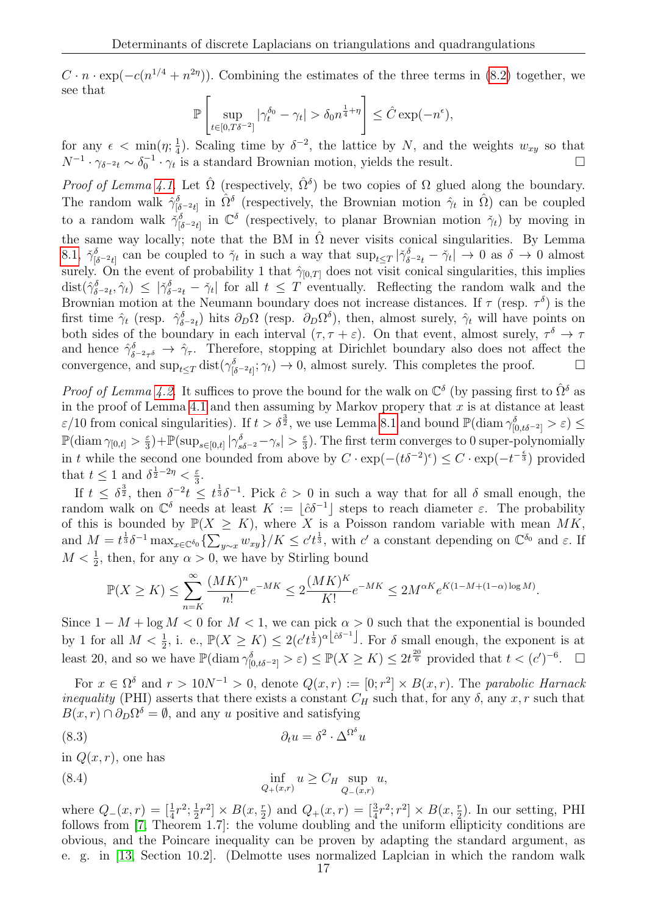$C \cdot n \cdot \exp(-c(n^{1/4} + n^{2\eta}))$ . Combining the estimates of the three terms in [\(8.2\)](#page-15-3) together, we see that

$$
\mathbb{P}\left[\sup_{t\in[0,T\delta^{-2}]}|\gamma_t^{\delta_0}-\gamma_t|>\delta_0 n^{\frac{1}{4}+\eta}\right]\leq \hat{C}\exp(-n^{\epsilon}),
$$

for any  $\epsilon < \min(\eta; \frac{1}{4})$  $\frac{1}{4}$ ). Scaling time by  $\delta^{-2}$ , the lattice by N, and the weights  $w_{xy}$  so that  $N^{-1} \cdot \gamma_{\delta^{-2}t} \sim \delta_0^{-1} \cdot \gamma_t$  is a standard Brownian motion, yields the result.

*Proof of Lemma [4.1.](#page-7-7)* Let  $\hat{\Omega}$  (respectively,  $\hat{\Omega}^{\delta}$ ) be two copies of  $\Omega$  glued along the boundary. The random walk  $\hat{\gamma}_{\delta^{-2}t}^{\delta}$  in  $\hat{\Omega}^{\delta}$  (respectively, the Brownian motion  $\hat{\gamma}_t$  in  $\hat{\Omega}$ ) can be coupled to a random walk  $\dot{\gamma}_{\vec{\delta}-2t}^{\delta}$  in  $\mathbb{C}^{\delta}$  (respectively, to planar Brownian motion  $\dot{\gamma}_t$ ) by moving in the same way locally; note that the BM in  $\hat{\Omega}$  never visits conical singularities. By Lemma [8.1,](#page-15-4)  $\tilde{\gamma}_{\lbrack \delta^{-2}t\rbrack}^{\delta}$  can be coupled to  $\tilde{\gamma}_t$  in such a way that  $\sup_{t\leq T}|\tilde{\gamma}_{\delta^{-2}t}^{\delta}-\tilde{\gamma}_t|\to 0$  as  $\delta\to 0$  almost surely. On the event of probability 1 that  $\hat{\gamma}_{[0,T]}$  does not visit conical singularities, this implies  $dist(\hat{\gamma}_{\delta^{-2}t}^{\delta},\hat{\gamma}_t) \leq |\check{\gamma}_{\delta^{-2}t}^{\delta} - \check{\gamma}_t|$  for all  $t \leq T$  eventually. Reflecting the random walk and the Brownian motion at the Neumann boundary does not increase distances. If  $\tau$  (resp.  $\tau^{\delta}$ ) is the first time  $\hat{\gamma}_t$  (resp.  $\hat{\gamma}_{\delta^{-2}t}$ ) hits  $\partial_D\Omega$  (resp.  $\partial_D\Omega^{\delta}$ ), then, almost surely,  $\hat{\gamma}_t$  will have points on both sides of the boundary in each interval  $(\tau, \tau + \varepsilon)$ . On that event, almost surely,  $\tau^{\delta} \to \tau$ and hence  $\hat{\gamma}_{\delta^{-2}\tau^{\delta}}^{\delta} \to \hat{\gamma}_{\tau}$ . Therefore, stopping at Dirichlet boundary also does not affect the convergence, and  $\sup_{t\leq T} \text{dist}(\gamma_{\delta^{-2}t]}^{\delta}; \gamma_t) \to 0$ , almost surely. This completes the proof.

*Proof of Lemma [4.2.](#page-7-2)* It suffices to prove the bound for the walk on  $\mathbb{C}^{\delta}$  (by passing first to  $\hat{\Omega}^{\delta}$  as in the proof of Lemma [4.1](#page-7-7) and then assuming by Markov propery that  $x$  is at distance at least  $\varepsilon/10$  from conical singularities). If  $t > \delta^{\frac{3}{2}}$ , we use Lemma [8.1](#page-15-0) and bound  $\mathbb{P}(\text{diam }\gamma_{[0,t\delta^{-2}]}^{\delta} > \varepsilon) \leq$  $\mathbb{P}(\text{diam }\gamma_{[0,t]}> \frac{\varepsilon}{3})$  $\frac{\varepsilon}{3}$ ) +  $\mathbb{P}(\sup_{s\in[0,t]}|\gamma_{s\delta^{-2}}^{\delta}-\gamma_s|>\frac{\varepsilon}{3})$  $\frac{\varepsilon}{3}$ ). The first term converges to 0 super-polynomially in t while the second one bounded from above by  $C \cdot \exp(- (t \delta^{-2})^{\epsilon}) \leq C \cdot \exp(-t^{-\frac{\epsilon}{3}})$  provided that  $t \leq 1$  and  $\delta^{\frac{1}{2}-2\eta} < \frac{\varepsilon}{3}$  $\frac{\varepsilon}{3}$ .

If  $t \leq \delta^{\frac{3}{2}}$ , then  $\delta^{-2}t \leq t^{\frac{1}{3}}\delta^{-1}$ . Pick  $\hat{c} > 0$  in such a way that for all  $\delta$  small enough, the random walk on  $\mathbb{C}^{\delta}$  needs at least  $K := [\hat{c}\delta^{-1}]$  steps to reach diameter  $\varepsilon$ . The probability of this is bounded by  $\mathbb{P}(X \geq K)$ , where X is a Poisson random variable with mean MK, and  $M = t^{\frac{1}{3}} \delta^{-1} \max_{x \in \mathbb{C}^{\delta_0}} \left\{ \sum_{y \sim x} w_{xy} \right\} / K \leq c' t^{\frac{1}{3}}$ , with  $c'$  a constant depending on  $\mathbb{C}^{\delta_0}$  and  $\varepsilon$ . If  $M < \frac{1}{2}$ , then, for any  $\alpha > 0$ , we have by Stirling bound

$$
\mathbb{P}(X \geq K) \leq \sum_{n=K}^{\infty} \frac{(MK)^n}{n!} e^{-MK} \leq 2 \frac{(MK)^K}{K!} e^{-MK} \leq 2 M^{\alpha K} e^{K(1-M + (1-\alpha)\log M)}.
$$

Since  $1 - M + \log M < 0$  for  $M < 1$ , we can pick  $\alpha > 0$  such that the exponential is bounded by 1 for all  $M < \frac{1}{2}$ , i. e.,  $\mathbb{P}(X \geq K) \leq 2(c't^{\frac{1}{3}})^{\alpha \lfloor \hat{c}\delta^{-1} \rfloor}$ . For  $\delta$  small enough, the exponent is at least 20, and so we have  $\mathbb{P}(\text{diam }\gamma^{\delta}_{[0,t\delta^{-2}]}> \varepsilon) \leq \mathbb{P}(X \geq K) \leq 2t^{\frac{20}{6}}$  provided that  $t < (c')^{-6}$ .

For  $x \in \Omega^{\delta}$  and  $r > 10N^{-1} > 0$ , denote  $Q(x,r) := [0; r^2] \times B(x,r)$ . The parabolic Harnack *inequality* (PHI) asserts that there exists a constant  $C_H$  such that, for any  $\delta$ , any  $x, r$  such that  $B(x,r) \cap \partial_D \Omega^{\delta} = \emptyset$ , and any u positive and satisfying

<span id="page-16-0"></span>(8.3) 
$$
\partial_t u = \delta^2 \cdot \Delta^{\Omega^{\delta}} u
$$

in  $Q(x, r)$ , one has

(8.4) 
$$
\inf_{Q_+(x,r)} u \geq C_H \sup_{Q_-(x,r)} u,
$$

where  $Q_-(x,r) = \left[\frac{1}{4}r^2, \frac{1}{2}\right]$  $\frac{1}{2}r^2 \times B(x, \frac{r}{2})$  and  $Q_+(x,r) = \left[\frac{3}{4}r^2; r^2\right] \times B(x, \frac{r}{2})$ . In our setting, PHI follows from [\[7,](#page-21-21) Theorem 1.7]: the volume doubling and the uniform ellipticity conditions are obvious, and the Poincare inequality can be proven by adapting the standard argument, as e. g. in [\[13,](#page-21-25) Section 10.2]. (Delmotte uses normalized Laplcian in which the random walk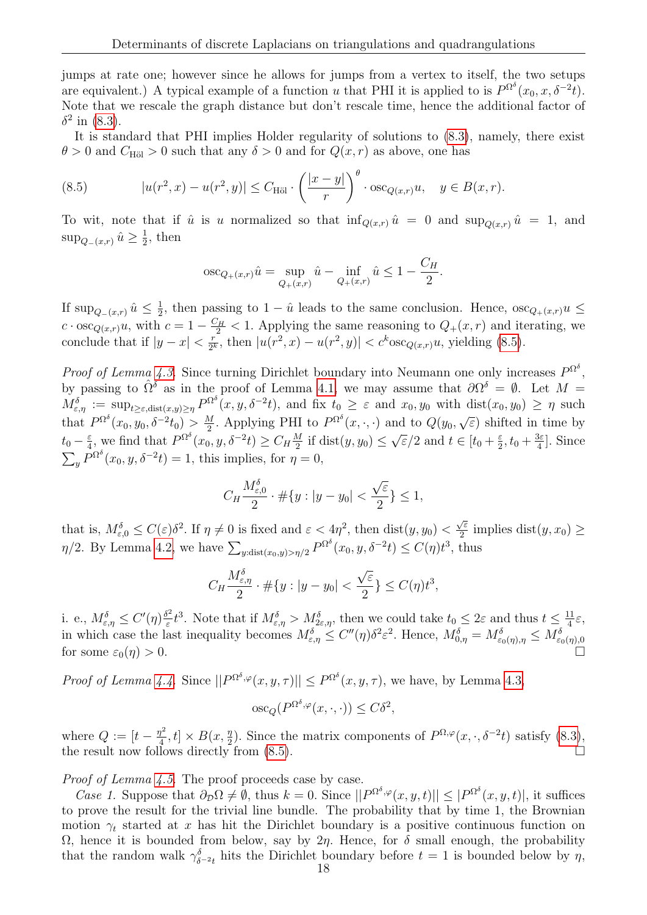jumps at rate one; however since he allows for jumps from a vertex to itself, the two setups are equivalent.) A typical example of a function u that PHI it is applied to is  $P^{\Omega^{\delta}}(x_0, x, \delta^{-2}t)$ . Note that we rescale the graph distance but don't rescale time, hence the additional factor of  $\delta^2$  in [\(8.3\)](#page-16-0).

It is standard that PHI implies Holder regularity of solutions to [\(8.3\)](#page-16-0), namely, there exist  $\theta > 0$  and  $C_{\text{H\"{o}l}} > 0$  such that any  $\delta > 0$  and for  $Q(x, r)$  as above, one has

<span id="page-17-0"></span>(8.5) 
$$
|u(r^2, x) - u(r^2, y)| \leq C_{\text{H\"ol}} \cdot \left(\frac{|x - y|}{r}\right)^{\theta} \cdot \text{osc}_{Q(x, r)} u, \quad y \in B(x, r).
$$

To wit, note that if  $\hat{u}$  is u normalized so that  $\inf_{Q(x,r)} \hat{u} = 0$  and  $\sup_{Q(x,r)} \hat{u} = 1$ , and  $\sup_{Q_{-}(x,r)}\hat{u}\geq\frac{1}{2}$  $\frac{1}{2}$ , then

$$
\operatorname{osc}_{Q_+(x,r)} \hat{u} = \sup_{Q_+(x,r)} \hat{u} - \inf_{Q_+(x,r)} \hat{u} \le 1 - \frac{C_H}{2}.
$$

If  $\sup_{Q_-(x,r)}\hat{u}\leq \frac{1}{2}$  $\frac{1}{2}$ , then passing to  $1 - \hat{u}$  leads to the same conclusion. Hence,  $\csc_{Q_+(x,r)} u \leq$  $c \cdot \operatorname{osc}_{Q(x,r)} u$ , with  $c = 1 - \frac{C_H}{2} < 1$ . Applying the same reasoning to  $Q_+(x,r)$  and iterating, we conclude that if  $|y-x| < \frac{r}{2l}$  $\frac{r}{2^k}$ , then  $|u(r^2, x) - u(r^2, y)| < c^k \csc_{Q(x,r)} u$ , yielding [\(8.5\)](#page-17-0).

*Proof of Lemma [4.3.](#page-7-5)* Since turning Dirichlet boundary into Neumann one only increases  $P^{\Omega^{\delta}}$ , by passing to  $\hat{\Omega}^{\delta}$  as in the proof of Lemma [4.1,](#page-7-7) we may assume that  $\partial \Omega^{\delta} = \emptyset$ . Let  $M =$  $M_{\varepsilon,\eta}^{\delta} := \sup_{t \geq \varepsilon, \text{dist}(x,y) \geq \eta} P^{\Omega^{\delta}}(x, y, \delta^{-2}t),$  and fix  $t_0 \geq \varepsilon$  and  $x_0, y_0$  with  $\text{dist}(x_0, y_0) \geq \eta$  such that  $P^{\Omega^{\delta}}(x_0, y_0, \delta^{-2} t_0) > \frac{M}{2}$  $\frac{M}{2}$ . Applying PHI to  $P^{\Omega^{\delta}}(x,\cdot,\cdot)$  and to  $Q(y_0,$ √  $\epsilon$ ) shifted in time by  $t_0 - \frac{\varepsilon}{4}$  $\frac{\varepsilon}{4}$ , we find that  $P^{\Omega^{\delta}}(x_0, y, \delta^{-2}t) \geq C_H \frac{M}{2}$  $\frac{M}{2}$  if dist $(y, y_0) \leq$ √  $\overline{\varepsilon}/2$  and  $t \in [t_0 + \frac{\varepsilon}{2}]$  $\frac{\varepsilon}{2}, t_0 + \frac{3\varepsilon}{4}$  $\frac{3\varepsilon}{4}$ . Since  $\sum_{y} P^{\Omega^{\delta}}(x_0, y, \delta^{-2}t) = 1$ , this implies, for  $\eta = 0$ ,

$$
C_H \frac{M_{\varepsilon,0}^{\delta}}{2} \cdot \# \{ y : |y - y_0| < \frac{\sqrt{\varepsilon}}{2} \} \le 1,
$$

that is,  $M_{\varepsilon,0}^{\delta} \leq C(\varepsilon) \delta^2$ . If  $\eta \neq 0$  is fixed and  $\varepsilon < 4\eta^2$ , then  $dist(y, y_0)$ √ ε  $\frac{\sqrt{\varepsilon}}{2}$  implies dist $(y, x_0) \ge$  $\eta/2$ . By Lemma [4.2,](#page-7-2) we have  $\sum_{y:\text{dist}(x_0,y)>\eta/2} P^{\Omega^{\delta}}(x_0,y,\delta^{-2}t) \leq C(\eta)t^3$ , thus

$$
C_H \frac{M_{\varepsilon,\eta}^{\delta}}{2} \cdot \#\{y : |y - y_0| < \frac{\sqrt{\varepsilon}}{2}\} \le C(\eta) t^3,
$$

i. e.,  $M_{\varepsilon,\eta}^{\delta} \leq C'(\eta) \frac{\delta^2}{\varepsilon}$  $\frac{5^2}{\varepsilon}t^3$ . Note that if  $M^{\delta}_{\varepsilon,\eta} > M^{\delta}_{2\varepsilon,\eta}$ , then we could take  $t_0 \leq 2\varepsilon$  and thus  $t \leq \frac{11}{4}$  $\frac{11}{4}\varepsilon,$ in which case the last inequality becomes  $M_{\varepsilon,\eta}^{\delta} \leq C''(\eta)\delta^2 \varepsilon^2$ . Hence,  $M_{0,\eta}^{\delta} = M_{\varepsilon_0(\eta),\eta}^{\delta} \leq M_{\varepsilon_0(\eta),0}^{\delta}$ <br>for some  $\varepsilon_0(\eta) > 0$ .

*Proof of Lemma [4.4.](#page-7-6)* Since  $||P^{\Omega^{\delta},\varphi}(x,y,\tau)|| \leq P^{\Omega^{\delta}}(x,y,\tau)$ , we have, by Lemma [4.3,](#page-7-5)

$$
\mathrm{osc}_Q(P^{\Omega^\delta,\varphi}(x,\cdot,\cdot)) \le C\delta^2,
$$

where  $Q := [t - \frac{\eta^2}{4}]$  $\frac{d^2}{dt^2}$ ,  $t \leq B(x, \frac{\eta}{2})$ . Since the matrix components of  $P^{\Omega, \varphi}(x, \cdot, \delta^{-2}t)$  satisfy  $(8.3)$ , the result now follows directly from [\(8.5\)](#page-17-0).

Proof of Lemma [4.5.](#page-7-3) The proof proceeds case by case.

*Case 1.* Suppose that  $\partial \rho \Omega \neq \emptyset$ , thus  $k = 0$ . Since  $||P^{\Omega^{\delta}, \varphi}(x, y, t)|| \leq |P^{\Omega^{\delta}}(x, y, t)|$ , it suffices to prove the result for the trivial line bundle. The probability that by time 1, the Brownian motion  $\gamma_t$  started at x has hit the Dirichlet boundary is a positive continuous function on Ω, hence it is bounded from below, say by  $2η$ . Hence, for δ small enough, the probability that the random walk  $\gamma_{\delta^{-2}t}^{\delta}$  hits the Dirichlet boundary before  $t = 1$  is bounded below by  $\eta$ ,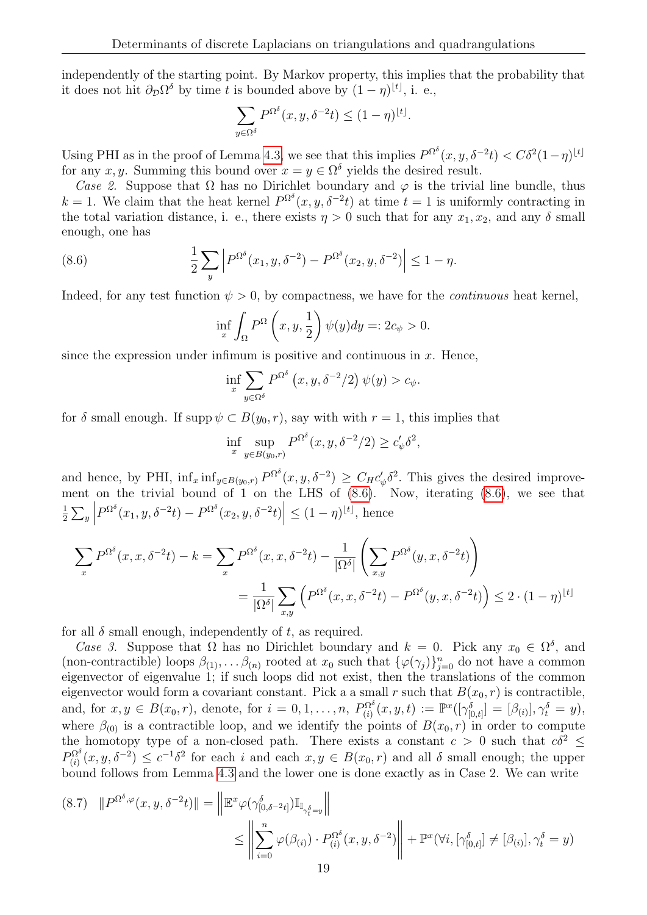independently of the starting point. By Markov property, this implies that the probability that it does not hit  $\partial_{\mathcal{D}} \Omega^{\delta}$  by time t is bounded above by  $(1 - \eta)^{\lfloor t \rfloor}$ , i. e.,

$$
\sum_{y \in \Omega^{\delta}} P^{\Omega^{\delta}}(x, y, \delta^{-2}t) \le (1 - \eta)^{\lfloor t \rfloor}.
$$

Using PHI as in the proof of Lemma [4.3,](#page-7-5) we see that this implies  $P^{\Omega^{\delta}}(x, y, \delta^{-2}t) < C\delta^2(1-\eta)^{\lfloor t \rfloor}$ for any x, y. Summing this bound over  $x = y \in \Omega^{\delta}$  yields the desired result.

Case 2. Suppose that  $\Omega$  has no Dirichlet boundary and  $\varphi$  is the trivial line bundle, thus k = 1. We claim that the heat kernel  $P^{\Omega^{\delta}}(x, y, \delta^{-2}t)$  at time  $t = 1$  is uniformly contracting in the total variation distance, i. e., there exists  $\eta > 0$  such that for any  $x_1, x_2$ , and any  $\delta$  small enough, one has

(8.6) 
$$
\frac{1}{2} \sum_{y} \left| P^{\Omega^{\delta}}(x_1, y, \delta^{-2}) - P^{\Omega^{\delta}}(x_2, y, \delta^{-2}) \right| \leq 1 - \eta.
$$

Indeed, for any test function  $\psi > 0$ , by compactness, we have for the *continuous* heat kernel,

<span id="page-18-0"></span>
$$
\inf_{x} \int_{\Omega} P^{\Omega} \left( x, y, \frac{1}{2} \right) \psi(y) dy =: 2c_{\psi} > 0.
$$

since the expression under infimum is positive and continuous in  $x$ . Hence,

$$
\inf_{x} \sum_{y \in \Omega^{\delta}} P^{\Omega^{\delta}}(x, y, \delta^{-2}/2) \psi(y) > c_{\psi}.
$$

for  $\delta$  small enough. If supp  $\psi \subset B(y_0, r)$ , say with with  $r = 1$ , this implies that

$$
\inf_{x} \sup_{y \in B(y_0, r)} P^{\Omega^{\delta}}(x, y, \delta^{-2}/2) \ge c'_{\psi} \delta^2,
$$

and hence, by PHI,  $\inf_x \inf_{y \in B(y_0,r)} P^{\Omega^{\delta}}(x,y,\delta^{-2}) \geq C_H c'_\psi \delta^2$ . This gives the desired improvement on the trivial bound of 1 on the LHS of  $(8.6)$ . Now, iterating  $(8.6)$ , we see that 1  $\frac{1}{2} \sum_y$  $P^{\Omega^{\delta}}(x_1, y, \delta^{-2}t) - P^{\Omega^{\delta}}(x_2, y, \delta^{-2}t) \Big| \leq (1 - \eta)^{\lfloor t \rfloor}, \text{ hence }$ 

$$
\sum_{x} P^{\Omega^{\delta}}(x, x, \delta^{-2}t) - k = \sum_{x} P^{\Omega^{\delta}}(x, x, \delta^{-2}t) - \frac{1}{|\Omega^{\delta}|} \left( \sum_{x, y} P^{\Omega^{\delta}}(y, x, \delta^{-2}t) \right)
$$
  
= 
$$
\frac{1}{|\Omega^{\delta}|} \sum_{x, y} \left( P^{\Omega^{\delta}}(x, x, \delta^{-2}t) - P^{\Omega^{\delta}}(y, x, \delta^{-2}t) \right) \leq 2 \cdot (1 - \eta)^{\lfloor t \rfloor}
$$

for all  $\delta$  small enough, independently of t, as required.

Case 3. Suppose that  $\Omega$  has no Dirichlet boundary and  $k = 0$ . Pick any  $x_0 \in \Omega^{\delta}$ , and (non-contractible) loops  $\beta_{(1)}, \ldots, \beta_{(n)}$  rooted at  $x_0$  such that  $\{\varphi(\gamma_j)\}_{j=0}^n$  do not have a common eigenvector of eigenvalue 1; if such loops did not exist, then the translations of the common eigenvector would form a covariant constant. Pick a a small r such that  $B(x_0, r)$  is contractible, and, for  $x, y \in B(x_0, r)$ , denote, for  $i = 0, 1, ..., n$ ,  $P_{(i)}^{\Omega^{\delta}}(x, y, t) := \mathbb{P}^{x}([\gamma^{\delta}_{[0,t]}] = [\beta_{(i)}], \gamma^{\delta}_t = y)$ , where  $\beta_{(0)}$  is a contractible loop, and we identify the points of  $B(x_0, r)$  in order to compute the homotopy type of a non-closed path. There exists a constant  $c > 0$  such that  $c\delta^2 \leq$  $P_{(i)}^{\Omega^{\delta}}(x,y,\delta^{-2}) \leq c^{-1}\delta^2$  for each i and each  $x,y \in B(x_0,r)$  and all  $\delta$  small enough; the upper bound follows from Lemma [4.3](#page-7-5) and the lower one is done exactly as in Case 2. We can write

<span id="page-18-1"></span>
$$
(8.7) \quad ||P^{\Omega^{\delta},\varphi}(x,y,\delta^{-2}t)|| = \left\|\mathbb{E}^{x}\varphi(\gamma_{[0,\delta^{-2}t]}^{\delta})\mathbb{I}_{\mathbb{I}_{\gamma_{t}^{\delta}=y}}\right\|
$$
  

$$
\leq \left\|\sum_{i=0}^{n}\varphi(\beta_{(i)})\cdot P_{(i)}^{\Omega^{\delta}}(x,y,\delta^{-2})\right\| + \mathbb{P}^{x}(\forall i, [\gamma_{[0,t]}^{\delta}]\neq [\beta_{(i)}], \gamma_{t}^{\delta}=y)
$$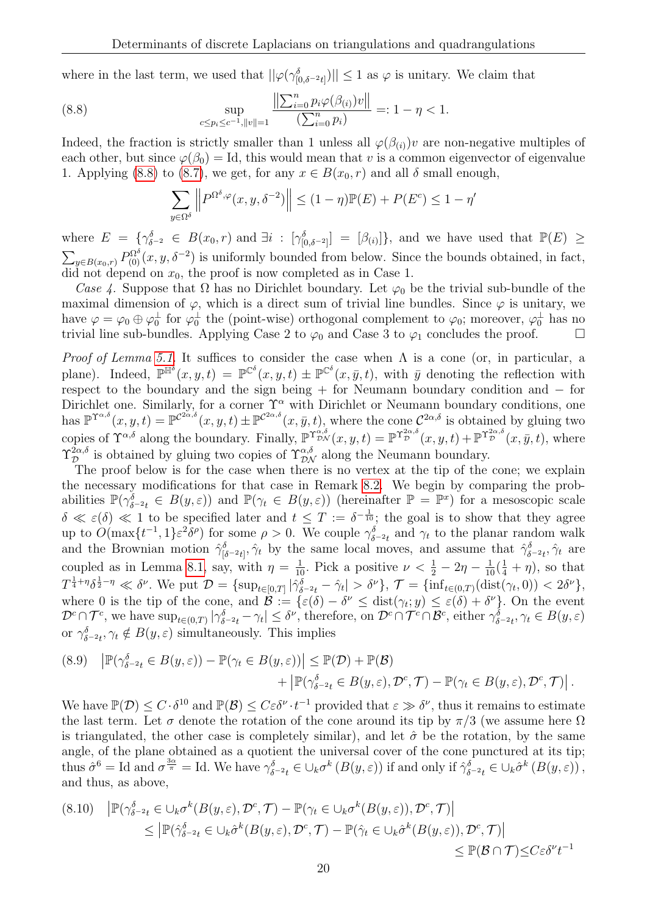where in the last term, we used that  $||\varphi(\gamma_{[0,\delta^{-2}t]}^{\delta})|| \leq 1$  as  $\varphi$  is unitary. We claim that

(8.8) 
$$
\sup_{c \le p_i \le c^{-1}, ||v|| = 1} \frac{\left\| \sum_{i=0}^n p_i \varphi(\beta(i)) v \right\|}{\left( \sum_{i=0}^n p_i \right)} =: 1 - \eta < 1.
$$

Indeed, the fraction is strictly smaller than 1 unless all  $\varphi(\beta(i))v$  are non-negative multiples of each other, but since  $\varphi(\beta_0) = \text{Id}$ , this would mean that v is a common eigenvector of eigenvalue 1. Applying [\(8.8\)](#page-19-0) to [\(8.7\)](#page-18-1), we get, for any  $x \in B(x_0, r)$  and all  $\delta$  small enough,

<span id="page-19-0"></span>
$$
\sum_{y \in \Omega^{\delta}} \left\| P^{\Omega^{\delta}, \varphi}(x, y, \delta^{-2}) \right\| \le (1 - \eta) \mathbb{P}(E) + P(E^c) \le 1 - \eta'
$$

where  $E = \{ \gamma_{\delta^{-2}}^{\delta} \in B(x_0, r) \text{ and } \exists i : [\gamma_{[0, \delta^{-2}]}^{\delta}] = [\beta_{(i)}] \},\$ and we have used that  $\mathbb{P}(E) \geq$  $\sum_{y\in B(x_0,r)} P^{\Omega^{\delta}}_{(0)}(x,y,\delta^{-2})$  is uniformly bounded from below. Since the bounds obtained, in fact, did not depend on  $x_0$ , the proof is now completed as in Case 1.

Case 4. Suppose that  $\Omega$  has no Dirichlet boundary. Let  $\varphi_0$  be the trivial sub-bundle of the maximal dimension of  $\varphi$ , which is a direct sum of trivial line bundles. Since  $\varphi$  is unitary, we have  $\varphi = \varphi_0 \oplus \varphi_0^{\perp}$  for  $\varphi_0^{\perp}$  the (point-wise) orthogonal complement to  $\varphi_0$ ; moreover,  $\varphi_0^{\perp}$  has no trivial line sub-bundles. Applying Case 2 to  $\varphi_0$  and Case 3 to  $\varphi_1$  concludes the proof.

*Proof of Lemma [5.1.](#page-9-2)* It suffices to consider the case when  $\Lambda$  is a cone (or, in particular, a plane). Indeed,  $\mathbb{P}^{\mathbb{H}^{\delta}}(x, y, t) = \mathbb{P}^{\mathbb{C}^{\delta}}(x, y, t) \pm \mathbb{P}^{\mathbb{C}^{\delta}}(x, \bar{y}, t)$ , with  $\bar{y}$  denoting the reflection with respect to the boundary and the sign being + for Neumann boundary condition and − for Dirichlet one. Similarly, for a corner  $\Upsilon^{\alpha}$  with Dirichlet or Neumann boundary conditions, one has  $\mathbb{P}^{\Upsilon^{\alpha,\delta}}(x,y,t) = \mathbb{P}^{\mathcal{C}^{2\alpha,\delta}}(x,y,t) \pm \mathbb{P}^{\mathcal{C}^{2\alpha,\delta}}(x,\bar{y},t)$ , where the cone  $\mathcal{C}^{2\alpha,\delta}$  is obtained by gluing two copies of  $\Upsilon^{\alpha,\delta}$  along the boundary. Finally,  $\mathbb{P}^{\Upsilon^{\alpha,\delta}_{\mathcal{D} \mathcal{N}}}(x, y, t) = \mathbb{P}^{\Upsilon^{\alpha,\delta}_{\mathcal{D}}}(x, y, t) + \mathbb{P}^{\Upsilon^{\alpha,\delta}_{\mathcal{D}}}(x, \bar{y}, t)$ , where  $\Upsilon_{\mathcal{D}}^{2\alpha,\delta}$  is obtained by gluing two copies of  $\Upsilon_{\mathcal{D}N}^{\alpha,\delta}$  along the Neumann boundary.

The proof below is for the case when there is no vertex at the tip of the cone; we explain the necessary modifications for that case in Remark [8.2.](#page-20-3) We begin by comparing the probabilities  $\mathbb{P}(\gamma_{\delta^{-2}t}^{\delta} \in B(y,\varepsilon))$  and  $\mathbb{P}(\gamma_t \in B(y,\varepsilon))$  (hereinafter  $\mathbb{P} = \mathbb{P}^x$ ) for a mesoscopic scale  $\delta \ll \varepsilon(\delta) \ll 1$  to be specified later and  $t \leq T := \delta^{-\frac{1}{10}}$ ; the goal is to show that they agree up to  $O(\max\{t^{-1}, 1\} \varepsilon^2 \delta^\rho)$  for some  $\rho > 0$ . We couple  $\gamma_{\delta^{-2}t}^{\delta}$  and  $\gamma_t$  to the planar random walk and the Brownian motion  $\hat{\gamma}_{\delta^{-2}t}^{\delta}$ ,  $\hat{\gamma}_t$  by the same local moves, and assume that  $\hat{\gamma}_{\delta^{-2}t}^{\delta}$ ,  $\hat{\gamma}_t$  are coupled as in Lemma [8.1,](#page-15-4) say, with  $\eta = \frac{1}{10}$ . Pick a positive  $\nu < \frac{1}{2} - 2\eta - \frac{1}{10}(\frac{1}{4} + \eta)$ , so that  $T^{\frac{1}{4}+\eta}\delta^{\frac{1}{2}-\eta} \ll \delta^{\nu}$ . We put  $\mathcal{D} = {\sup_{t \in [0,T]} |\hat{\gamma}_{\delta^{-2}t}^{\delta} - \hat{\gamma}_t| > \delta^{\nu}}$ ,  $\mathcal{T} = {\inf_{t \in (0,T)} (\text{dist}(\gamma_t, 0)) < 2\delta^{\nu}}$ , where 0 is the tip of the cone, and  $\mathcal{B} := \{ \varepsilon(\delta) - \delta^{\nu} \leq \text{dist}(\gamma_t; y) \leq \varepsilon(\delta) + \delta^{\nu} \}.$  On the event  $\mathcal{D}^c \cap \mathcal{T}^c$ , we have  $\sup_{t \in (0,T)} |\gamma_{\delta^{-2}t}^{\delta} - \gamma_t| \leq \delta^{\nu}$ , therefore, on  $\mathcal{D}^c \cap \mathcal{T}^c \cap \mathcal{B}^c$ , either  $\gamma_{\delta^{-2}t}^{\delta}, \gamma_t \in B(y,\varepsilon)$ or  $\gamma_{\delta^{-2}t}^{\delta}, \gamma_t \notin B(y, \varepsilon)$  simultaneously. This implies

(8.9) 
$$
|\mathbb{P}(\gamma_{\delta^{-2}t}^{\delta} \in B(y,\varepsilon)) - \mathbb{P}(\gamma_t \in B(y,\varepsilon))| \leq \mathbb{P}(\mathcal{D}) + \mathbb{P}(\mathcal{B}) + |\mathbb{P}(\gamma_{\delta^{-2}t}^{\delta} \in B(y,\varepsilon),\mathcal{D}^c,\mathcal{T}) - \mathbb{P}(\gamma_t \in B(y,\varepsilon),\mathcal{D}^c,\mathcal{T})|.
$$

We have  $\mathbb{P}(\mathcal{D}) \leq C \cdot \delta^{10}$  and  $\mathbb{P}(\mathcal{B}) \leq C \varepsilon \delta^{\nu} \cdot t^{-1}$  provided that  $\varepsilon \gg \delta^{\nu}$ , thus it remains to estimate the last term. Let  $\sigma$  denote the rotation of the cone around its tip by  $\pi/3$  (we assume here  $\Omega$ is triangulated, the other case is completely similar), and let  $\hat{\sigma}$  be the rotation, by the same angle, of the plane obtained as a quotient the universal cover of the cone punctured at its tip; thus  $\hat{\sigma}^6 = \text{Id}$  and  $\sigma^{\frac{3\alpha}{\pi}} = \text{Id}$ . We have  $\gamma_{\delta^{-2}t}^{\delta} \in \bigcup_k \sigma^k(B(y, \varepsilon))$  if and only if  $\hat{\gamma}_{\delta^{-2}t}^{\delta} \in \bigcup_k \hat{\sigma}^k(B(y, \varepsilon))$ , and thus, as above,

$$
(8.10) \quad \left| \mathbb{P}(\gamma_{\delta^{-2}t}^{\delta} \in \bigcup_{k} \sigma^{k}(B(y,\varepsilon), \mathcal{D}^{c}, \mathcal{T}) - \mathbb{P}(\gamma_{t} \in \bigcup_{k} \sigma^{k}(B(y,\varepsilon)), \mathcal{D}^{c}, \mathcal{T}) \right|
$$
  
\n
$$
\leq \left| \mathbb{P}(\hat{\gamma}_{\delta^{-2}t}^{\delta} \in \bigcup_{k} \hat{\sigma}^{k}(B(y,\varepsilon), \mathcal{D}^{c}, \mathcal{T}) - \mathbb{P}(\hat{\gamma}_{t} \in \bigcup_{k} \hat{\sigma}^{k}(B(y,\varepsilon)), \mathcal{D}^{c}, \mathcal{T}) \right|
$$
  
\n
$$
\leq \mathbb{P}(\mathcal{B} \cap \mathcal{T}) \leq C \varepsilon \delta^{\nu} t^{-1}
$$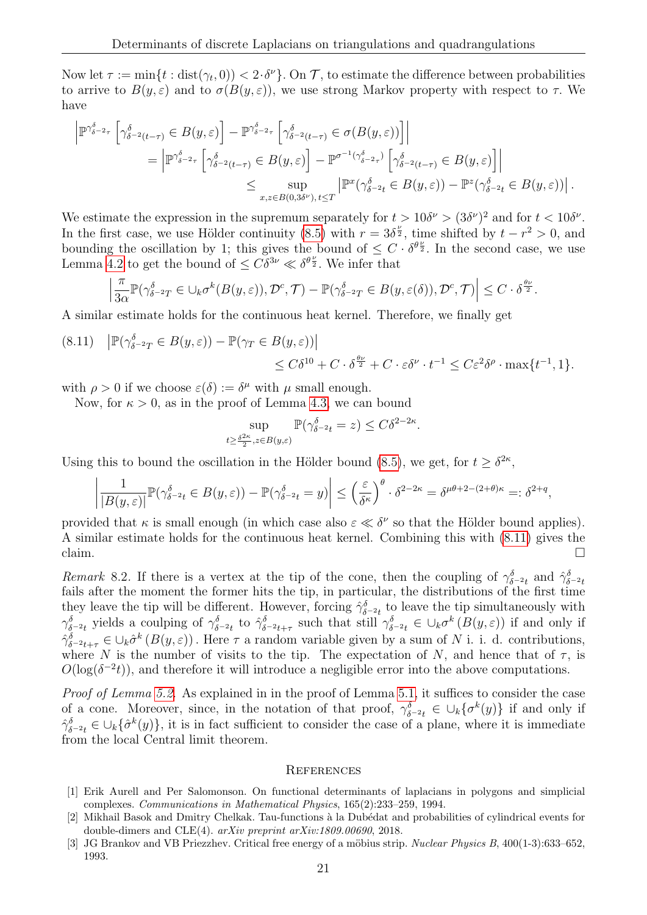Now let  $\tau := \min\{t : \text{dist}(\gamma_t, 0)) < 2 \cdot \delta^{\nu}\}\$ . On  $\mathcal{T}$ , to estimate the difference between probabilities to arrive to  $B(y,\varepsilon)$  and to  $\sigma(B(y,\varepsilon))$ , we use strong Markov property with respect to  $\tau$ . We have

$$
\begin{split} \left| \mathbb{P}^{\gamma^{\delta}_{\delta^{-2}\tau}}\left[\gamma^{\delta}_{\delta^{-2}(t-\tau)} \in B(y,\varepsilon) \right] - \mathbb{P}^{\gamma^{\delta}_{\delta^{-2}\tau}}\left[\gamma^{\delta}_{\delta^{-2}(t-\tau)} \in \sigma(B(y,\varepsilon)) \right] \right| \\ = \left| \mathbb{P}^{\gamma^{\delta}_{\delta^{-2}\tau}}\left[\gamma^{\delta}_{\delta^{-2}(t-\tau)} \in B(y,\varepsilon) \right] - \mathbb{P}^{\sigma^{-1}(\gamma^{\delta}_{\delta^{-2}\tau})}\left[\gamma^{\delta}_{\delta^{-2}(t-\tau)} \in B(y,\varepsilon) \right] \right| \\ \leq \sup_{x,z \in B(0,3\delta^{\nu}),\,t \leq T} \left| \mathbb{P}^{x}(\gamma^{\delta}_{\delta^{-2}t} \in B(y,\varepsilon)) - \mathbb{P}^{z}(\gamma^{\delta}_{\delta^{-2}t} \in B(y,\varepsilon)) \right|. \end{split}
$$

We estimate the expression in the supremum separately for  $t > 10\delta^{\nu} > (3\delta^{\nu})^2$  and for  $t < 10\delta^{\nu}$ . In the first case, we use Hölder continuity [\(8.5\)](#page-17-0) with  $r = 3\delta^{\frac{\nu}{2}}$ , time shifted by  $t - r^2 > 0$ , and bounding the oscillation by 1; this gives the bound of  $\leq C \cdot \delta^{\theta_{\frac{\nu}{2}}}$ . In the second case, we use Lemma [4.2](#page-7-2) to get the bound of  $\leq C\delta^{3\nu} \ll \delta^{\theta \frac{\nu}{2}}$ . We infer that

$$
\left|\frac{\pi}{3\alpha}\mathbb{P}(\gamma_{\delta^{-2}T}^{\delta}\in\cup_{k}\sigma^{k}(B(y,\varepsilon)),\mathcal{D}^c,\mathcal{T})-\mathbb{P}(\gamma_{\delta^{-2}T}^{\delta}\in B(y,\varepsilon(\delta)),\mathcal{D}^c,\mathcal{T})\right|\leq C\cdot\delta^{\frac{\theta\nu}{2}}.
$$

A similar estimate holds for the continuous heat kernel. Therefore, we finally get

<span id="page-20-4"></span>
$$
(8.11) \quad |\mathbb{P}(\gamma_{\delta^{-2}T}^{\delta} \in B(y,\varepsilon)) - \mathbb{P}(\gamma_T \in B(y,\varepsilon))|
$$
  

$$
\leq C\delta^{10} + C \cdot \delta^{\frac{\theta\nu}{2}} + C \cdot \varepsilon \delta^{\nu} \cdot t^{-1} \leq C\varepsilon^2 \delta^{\rho} \cdot \max\{t^{-1}, 1\}.
$$

with  $\rho > 0$  if we choose  $\varepsilon(\delta) := \delta^{\mu}$  with  $\mu$  small enough.

Now, for  $\kappa > 0$ , as in the proof of Lemma [4.3,](#page-7-5) we can bound

$$
\sup_{t \ge \frac{\delta^{2\kappa}}{2}, z \in B(y,\varepsilon)} \mathbb{P}(\gamma_{\delta^{-2}t}^{\delta} = z) \le C\delta^{2-2\kappa}.
$$

Using this to bound the oscillation in the Hölder bound [\(8.5\)](#page-17-0), we get, for  $t \geq \delta^{2\kappa}$ ,

$$
\left|\frac{1}{|B(y,\varepsilon)|}\mathbb{P}(\gamma_{\delta^{-2}t}^{\delta}\in B(y,\varepsilon)) - \mathbb{P}(\gamma_{\delta^{-2}t}^{\delta}=y)\right| \leq \left(\frac{\varepsilon}{\delta^{\kappa}}\right)^{\theta}\cdot \delta^{2-2\kappa} = \delta^{\mu\theta+2-(2+\theta)\kappa} =: \delta^{2+q},
$$

provided that  $\kappa$  is small enough (in which case also  $\varepsilon \ll \delta^{\nu}$  so that the Hölder bound applies). A similar estimate holds for the continuous heat kernel. Combining this with [\(8.11\)](#page-20-4) gives the claim.  $\Box$ 

<span id="page-20-3"></span>Remark 8.2. If there is a vertex at the tip of the cone, then the coupling of  $\gamma_{\delta^{-2}t}^{\delta}$  and  $\hat{\gamma}_{\delta^{-2}t}^{\delta}$ fails after the moment the former hits the tip, in particular, the distributions of the first time they leave the tip will be different. However, forcing  $\hat{\gamma}_{\delta^{-2}t}^{\delta}$  to leave the tip simultaneously with  $\gamma_{\delta^{-2}t}^{\delta}$  yields a coulping of  $\gamma_{\delta^{-2}t}^{\delta}$  to  $\hat{\gamma}_{\delta^{-2}t+\tau}^{\delta}$  such that still  $\gamma_{\delta^{-2}t}^{\delta} \in \bigcup_{k} \sigma^{k}(B(y,\varepsilon))$  if and only if  $\hat{\gamma}_{\delta^{-2}t+\tau}^{\delta} \in \cup_k \hat{\sigma}^k(B(y,\varepsilon))$ . Here  $\tau$  a random variable given by a sum of N i. i. d. contributions, where N is the number of visits to the tip. The expectation of N, and hence that of  $\tau$ , is  $O(\log(\delta^{-2}t))$ , and therefore it will introduce a negligible error into the above computations.

Proof of Lemma [5.2.](#page-9-0) As explained in in the proof of Lemma [5.1,](#page-9-2) it suffices to consider the case of a cone. Moreover, since, in the notation of that proof,  $\gamma_{\delta^{-2}t}^{\delta} \in \bigcup_k \{\sigma^k(y)\}\$ if and only if  $\hat{\gamma}_{\delta^{-2}t}^{\delta} \in \cup_k \{\hat{\sigma}^k(y)\}\$ , it is in fact sufficient to consider the case of a plane, where it is immediate from the local Central limit theorem.

### **REFERENCES**

- <span id="page-20-2"></span>[1] Erik Aurell and Per Salomonson. On functional determinants of laplacians in polygons and simplicial complexes. Communications in Mathematical Physics, 165(2):233–259, 1994.
- <span id="page-20-0"></span>[2] Mikhail Basok and Dmitry Chelkak. Tau-functions à la Dubédat and probabilities of cylindrical events for double-dimers and CLE(4). arXiv preprint arXiv:1809.00690, 2018.
- <span id="page-20-1"></span>[3] JG Brankov and VB Priezzhev. Critical free energy of a möbius strip. *Nuclear Physics B*,  $400(1-3):633-652$ , 1993.